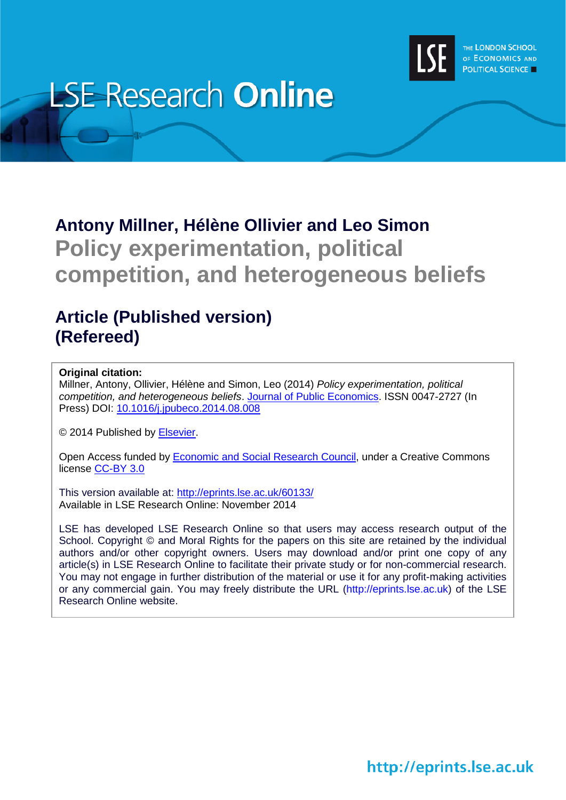

# **LSE Research Online**

## **Antony Millner, Hélène Ollivier and Leo Simon Policy experimentation, political competition, and heterogeneous beliefs**

## **Article (Published version) (Refereed)**

## **Original citation:**

Millner, Antony, Ollivier, Hélène and Simon, Leo (2014) *Policy experimentation, political competition, and heterogeneous beliefs*. [Journal of Public Economics.](http://www.journals.elsevier.com/journal-of-public-economics/) ISSN 0047-2727 (In Press) DOI: [10.1016/j.jpubeco.2014.08.008](http://dx.doi.org/10.1016/j.jpubeco.2014.08.008)

© 2014 Published by [Elsevier.](http://www.journals.elsevier.com/)

Open Access funded by [Economic and Social Research Council,](http://www.esrc.org/) under a Creative Commons license [CC-BY 3.0](http://creativecommons.org/licenses/by/3.0/)

This version available at:<http://eprints.lse.ac.uk/60133/> Available in LSE Research Online: November 2014

LSE has developed LSE Research Online so that users may access research output of the School. Copyright © and Moral Rights for the papers on this site are retained by the individual authors and/or other copyright owners. Users may download and/or print one copy of any article(s) in LSE Research Online to facilitate their private study or for non-commercial research. You may not engage in further distribution of the material or use it for any profit-making activities or any commercial gain. You may freely distribute the URL (http://eprints.lse.ac.uk) of the LSE Research Online website.

http://eprints.lse.ac.uk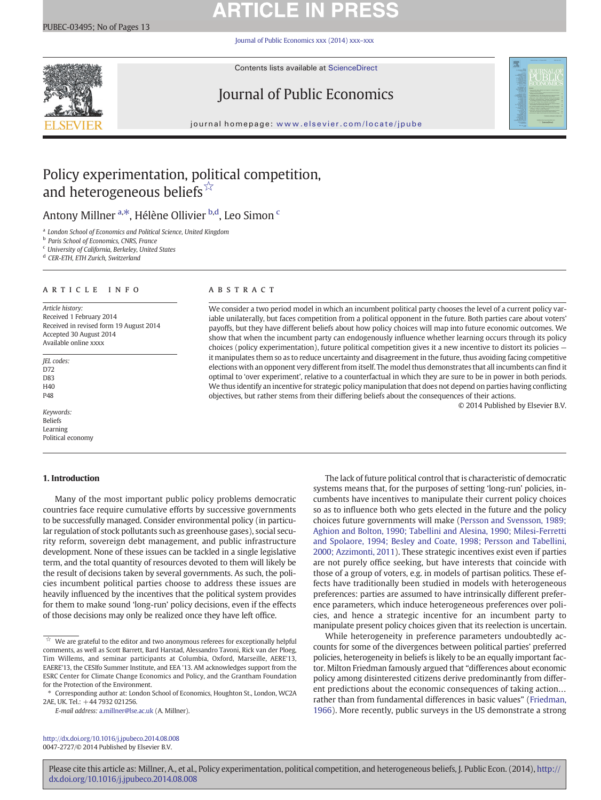## **ARTICLE IN PRI**

[Journal of Public Economics xxx \(2014\) xxx](http://dx.doi.org/10.1016/j.jpubeco.2014.08.008)–xxx



Contents lists available at ScienceDirect

## Journal of Public Economics



journal homepage: <www.elsevier.com/locate/jpube>

## Policy experimentation, political competition, and heterogeneous beliefs<sup>☆</sup>

## Antony Millner <sup>a,\*</sup>, Hélène Ollivier <sup>b,d</sup>, Leo Simon <sup>c</sup>

<sup>a</sup> London School of Economics and Political Science, United Kingdom

<sup>b</sup> Paris School of Economics, CNRS, France

<sup>c</sup> University of California, Berkeley, United States

<sup>d</sup> CER-ETH, ETH Zurich, Switzerland

## article info abstract

Article history: Received 1 February 2014 Received in revised form 19 August 2014 Accepted 30 August 2014 Available online xxxx

JEL codes: D72 D83 H40 P48

Keywords: Beliefs Learning Political economy

### 1. Introduction

## Many of the most important public policy problems democratic countries face require cumulative efforts by successive governments to be successfully managed. Consider environmental policy (in particular regulation of stock pollutants such as greenhouse gases), social security reform, sovereign debt management, and public infrastructure development. None of these issues can be tackled in a single legislative term, and the total quantity of resources devoted to them will likely be the result of decisions taken by several governments. As such, the policies incumbent political parties choose to address these issues are heavily influenced by the incentives that the political system provides for them to make sound 'long-run' policy decisions, even if the effects of those decisions may only be realized once they have left office.

E-mail address: [a.millner@lse.ac.uk](mailto:a.millner@lse.ac.uk) (A. Millner).

<http://dx.doi.org/10.1016/j.jpubeco.2014.08.008> 0047-2727/© 2014 Published by Elsevier B.V.

We consider a two period model in which an incumbent political party chooses the level of a current policy variable unilaterally, but faces competition from a political opponent in the future. Both parties care about voters' payoffs, but they have different beliefs about how policy choices will map into future economic outcomes. We show that when the incumbent party can endogenously influence whether learning occurs through its policy choices (policy experimentation), future political competition gives it a new incentive to distort its policies it manipulates them so as to reduce uncertainty and disagreement in the future, thus avoiding facing competitive elections with an opponent very different from itself. The model thus demonstrates that all incumbents can find it optimal to 'over experiment', relative to a counterfactual in which they are sure to be in power in both periods. We thus identify an incentive for strategic policy manipulation that does not depend on parties having conflicting objectives, but rather stems from their differing beliefs about the consequences of their actions.

© 2014 Published by Elsevier B.V.

The lack of future political control that is characteristic of democratic systems means that, for the purposes of setting 'long-run' policies, incumbents have incentives to manipulate their current policy choices so as to influence both who gets elected in the future and the policy choices future governments will make [\(Persson and Svensson, 1989;](#page-13-0) [Aghion and Bolton, 1990; Tabellini and Alesina, 1990; Milesi-Ferretti](#page-13-0) [and Spolaore, 1994; Besley and Coate, 1998; Persson and Tabellini,](#page-13-0) [2000; Azzimonti, 2011](#page-13-0)). These strategic incentives exist even if parties are not purely office seeking, but have interests that coincide with those of a group of voters, e.g. in models of partisan politics. These effects have traditionally been studied in models with heterogeneous preferences: parties are assumed to have intrinsically different preference parameters, which induce heterogeneous preferences over policies, and hence a strategic incentive for an incumbent party to manipulate present policy choices given that its reelection is uncertain.

While heterogeneity in preference parameters undoubtedly accounts for some of the divergences between political parties' preferred policies, heterogeneity in beliefs is likely to be an equally important factor. Milton Friedman famously argued that "differences about economic policy among disinterested citizens derive predominantly from different predictions about the economic consequences of taking action… rather than from fundamental differences in basic values" [\(Friedman,](#page-13-0) [1966\)](#page-13-0). More recently, public surveys in the US demonstrate a strong

 $\overrightarrow{x}$  We are grateful to the editor and two anonymous referees for exceptionally helpful comments, as well as Scott Barrett, Bard Harstad, Alessandro Tavoni, Rick van der Ploeg, Tim Willems, and seminar participants at Columbia, Oxford, Marseille, AERE'13, EAERE'13, the CESIfo Summer Institute, and EEA '13. AM acknowledges support from the ESRC Center for Climate Change Economics and Policy, and the Grantham Foundation for the Protection of the Environment.

<sup>⁎</sup> Corresponding author at: London School of Economics, Houghton St., London, WC2A 2AE, UK. Tel.: +44 7932 021256.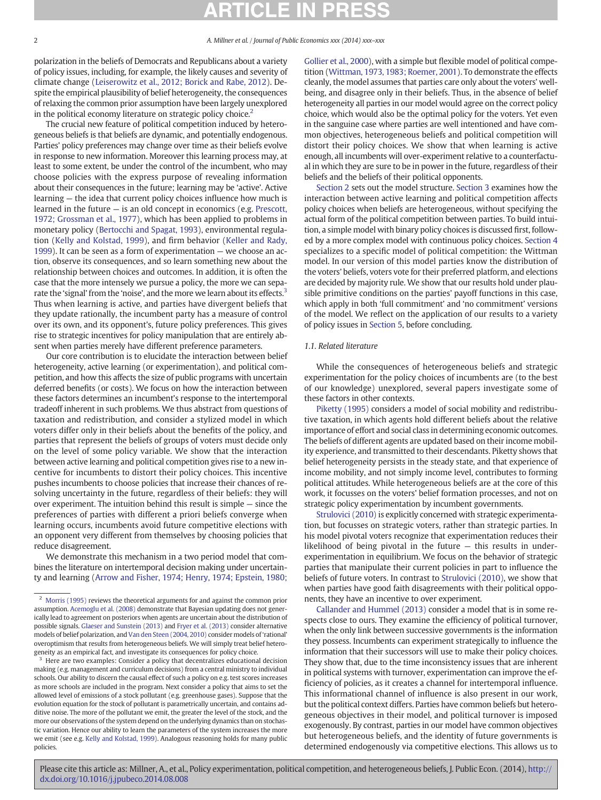polarization in the beliefs of Democrats and Republicans about a variety of policy issues, including, for example, the likely causes and severity of climate change [\(Leiserowitz et al., 2012; Borick and Rabe, 2012](#page-13-0)). Despite the empirical plausibility of belief heterogeneity, the consequences of relaxing the common prior assumption have been largely unexplored in the political economy literature on strategic policy choice.<sup>2</sup>

The crucial new feature of political competition induced by heterogeneous beliefs is that beliefs are dynamic, and potentially endogenous. Parties' policy preferences may change over time as their beliefs evolve in response to new information. Moreover this learning process may, at least to some extent, be under the control of the incumbent, who may choose policies with the express purpose of revealing information about their consequences in the future; learning may be 'active'. Active learning — the idea that current policy choices influence how much is learned in the future — is an old concept in economics (e.g. [Prescott,](#page-13-0) [1972; Grossman et al., 1977](#page-13-0)), which has been applied to problems in monetary policy [\(Bertocchi and Spagat, 1993](#page-12-0)), environmental regulation ([Kelly and Kolstad, 1999\)](#page-13-0), and firm behavior ([Keller and Rady,](#page-13-0) [1999\)](#page-13-0). It can be seen as a form of experimentation — we choose an action, observe its consequences, and so learn something new about the relationship between choices and outcomes. In addition, it is often the case that the more intensely we pursue a policy, the more we can separate the 'signal' from the 'noise', and the more we learn about its effects.<sup>3</sup> Thus when learning is active, and parties have divergent beliefs that they update rationally, the incumbent party has a measure of control over its own, and its opponent's, future policy preferences. This gives rise to strategic incentives for policy manipulation that are entirely absent when parties merely have different preference parameters.

Our core contribution is to elucidate the interaction between belief heterogeneity, active learning (or experimentation), and political competition, and how this affects the size of public programs with uncertain deferred benefits (or costs). We focus on how the interaction between these factors determines an incumbent's response to the intertemporal tradeoff inherent in such problems. We thus abstract from questions of taxation and redistribution, and consider a stylized model in which voters differ only in their beliefs about the benefits of the policy, and parties that represent the beliefs of groups of voters must decide only on the level of some policy variable. We show that the interaction between active learning and political competition gives rise to a new incentive for incumbents to distort their policy choices. This incentive pushes incumbents to choose policies that increase their chances of resolving uncertainty in the future, regardless of their beliefs: they will over experiment. The intuition behind this result is simple — since the preferences of parties with different a priori beliefs converge when learning occurs, incumbents avoid future competitive elections with an opponent very different from themselves by choosing policies that reduce disagreement.

We demonstrate this mechanism in a two period model that combines the literature on intertemporal decision making under uncertainty and learning [\(Arrow and Fisher, 1974; Henry, 1974; Epstein, 1980;](#page-12-0) [Gollier et al., 2000\)](#page-12-0), with a simple but flexible model of political competition [\(Wittman, 1973, 1983; Roemer, 2001](#page-13-0)). To demonstrate the effects cleanly, the model assumes that parties care only about the voters' wellbeing, and disagree only in their beliefs. Thus, in the absence of belief heterogeneity all parties in our model would agree on the correct policy choice, which would also be the optimal policy for the voters. Yet even in the sanguine case where parties are well intentioned and have common objectives, heterogeneous beliefs and political competition will distort their policy choices. We show that when learning is active enough, all incumbents will over-experiment relative to a counterfactual in which they are sure to be in power in the future, regardless of their beliefs and the beliefs of their political opponents.

[Section 2](#page-3-0) sets out the model structure. [Section 3](#page-4-0) examines how the interaction between active learning and political competition affects policy choices when beliefs are heterogeneous, without specifying the actual form of the political competition between parties. To build intuition, a simple model with binary policy choices is discussed first, followed by a more complex model with continuous policy choices. [Section 4](#page-7-0) specializes to a specific model of political competition: the Wittman model. In our version of this model parties know the distribution of the voters' beliefs, voters vote for their preferred platform, and elections are decided by majority rule. We show that our results hold under plausible primitive conditions on the parties' payoff functions in this case, which apply in both 'full commitment' and 'no commitment' versions of the model. We reflect on the application of our results to a variety of policy issues in [Section 5,](#page-8-0) before concluding.

#### 1.1. Related literature

While the consequences of heterogeneous beliefs and strategic experimentation for the policy choices of incumbents are (to the best of our knowledge) unexplored, several papers investigate some of these factors in other contexts.

[Piketty \(1995\)](#page-13-0) considers a model of social mobility and redistributive taxation, in which agents hold different beliefs about the relative importance of effort and social class in determining economic outcomes. The beliefs of different agents are updated based on their income mobility experience, and transmitted to their descendants. Piketty shows that belief heterogeneity persists in the steady state, and that experience of income mobility, and not simply income level, contributes to forming political attitudes. While heterogeneous beliefs are at the core of this work, it focusses on the voters' belief formation processes, and not on strategic policy experimentation by incumbent governments.

[Strulovici \(2010\)](#page-13-0) is explicitly concerned with strategic experimentation, but focusses on strategic voters, rather than strategic parties. In his model pivotal voters recognize that experimentation reduces their likelihood of being pivotal in the future — this results in underexperimentation in equilibrium. We focus on the behavior of strategic parties that manipulate their current policies in part to influence the beliefs of future voters. In contrast to [Strulovici \(2010\)](#page-13-0), we show that when parties have good faith disagreements with their political opponents, they have an incentive to over experiment.

[Callander and Hummel \(2013\)](#page-12-0) consider a model that is in some respects close to ours. They examine the efficiency of political turnover, when the only link between successive governments is the information they possess. Incumbents can experiment strategically to influence the information that their successors will use to make their policy choices. They show that, due to the time inconsistency issues that are inherent in political systems with turnover, experimentation can improve the efficiency of policies, as it creates a channel for intertemporal influence. This informational channel of influence is also present in our work, but the political context differs. Parties have common beliefs but heterogeneous objectives in their model, and political turnover is imposed exogenously. By contrast, parties in our model have common objectives but heterogeneous beliefs, and the identity of future governments is determined endogenously via competitive elections. This allows us to

<sup>&</sup>lt;sup>2</sup> [Morris \(1995\)](#page-13-0) reviews the theoretical arguments for and against the common prior assumption. [Acemoglu et al. \(2008\)](#page-12-0) demonstrate that Bayesian updating does not generically lead to agreement on posteriors when agents are uncertain about the distribution of possible signals. [Glaeser and Sunstein \(2013\)](#page-13-0) and [Fryer et al. \(2013\)](#page-13-0) consider alternative models of belief polarization, and [Van den Steen \(2004, 2010\)](#page-13-0) consider models of 'rational' overoptimism that results from heterogeneous beliefs. We will simply treat belief heterogeneity as an empirical fact, and investigate its consequences for policy choice.

<sup>&</sup>lt;sup>3</sup> Here are two examples: Consider a policy that decentralizes educational decision making (e.g. management and curriculum decisions) from a central ministry to individual schools. Our ability to discern the causal effect of such a policy on e.g. test scores increases as more schools are included in the program. Next consider a policy that aims to set the allowed level of emissions of a stock pollutant (e.g. greenhouse gases). Suppose that the evolution equation for the stock of pollutant is parametrically uncertain, and contains additive noise. The more of the pollutant we emit, the greater the level of the stock, and the more our observations of the system depend on the underlying dynamics than on stochastic variation. Hence our ability to learn the parameters of the system increases the more we emit (see e.g. [Kelly and Kolstad, 1999](#page-13-0)). Analogous reasoning holds for many public policies.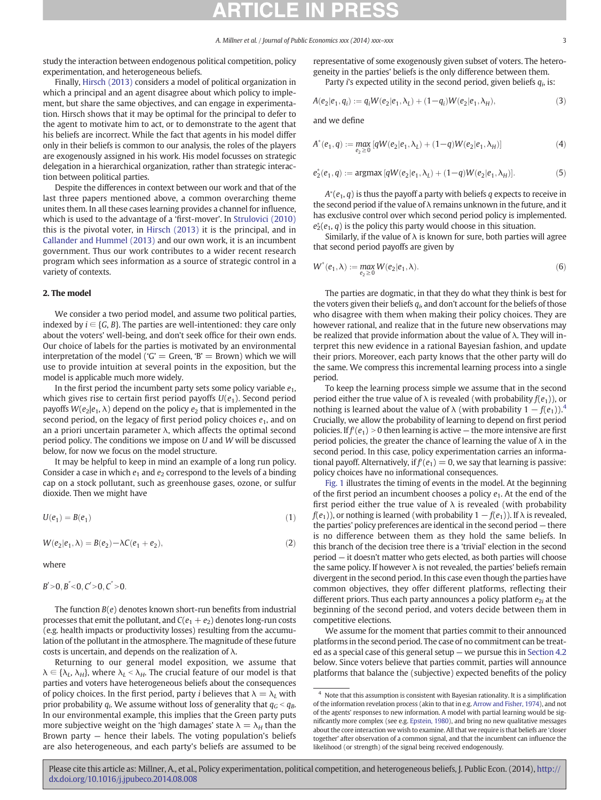<span id="page-3-0"></span>study the interaction between endogenous political competition, policy experimentation, and heterogeneous beliefs.

Finally, [Hirsch \(2013\)](#page-13-0) considers a model of political organization in which a principal and an agent disagree about which policy to implement, but share the same objectives, and can engage in experimentation. Hirsch shows that it may be optimal for the principal to defer to the agent to motivate him to act, or to demonstrate to the agent that his beliefs are incorrect. While the fact that agents in his model differ only in their beliefs is common to our analysis, the roles of the players are exogenously assigned in his work. His model focusses on strategic delegation in a hierarchical organization, rather than strategic interaction between political parties.

Despite the differences in context between our work and that of the last three papers mentioned above, a common overarching theme unites them. In all these cases learning provides a channel for influence, which is used to the advantage of a 'first-mover'. In [Strulovici \(2010\)](#page-13-0) this is the pivotal voter, in [Hirsch \(2013\)](#page-13-0) it is the principal, and in [Callander and Hummel \(2013\)](#page-12-0) and our own work, it is an incumbent government. Thus our work contributes to a wider recent research program which sees information as a source of strategic control in a variety of contexts.

#### 2. The model

We consider a two period model, and assume two political parties, indexed by  $i \in \{G, B\}$ . The parties are well-intentioned: they care only about the voters' well-being, and don't seek office for their own ends. Our choice of labels for the parties is motivated by an environmental interpretation of the model ('G' = Green, 'B' = Brown) which we will use to provide intuition at several points in the exposition, but the model is applicable much more widely.

In the first period the incumbent party sets some policy variable  $e_1$ , which gives rise to certain first period payoffs  $U(e_1)$ . Second period payoffs  $W(e_2|e_1, \lambda)$  depend on the policy  $e_2$  that is implemented in the second period, on the legacy of first period policy choices  $e_1$ , and on an a priori uncertain parameter  $\lambda$ , which affects the optimal second period policy. The conditions we impose on U and W will be discussed below, for now we focus on the model structure.

It may be helpful to keep in mind an example of a long run policy. Consider a case in which  $e_1$  and  $e_2$  correspond to the levels of a binding cap on a stock pollutant, such as greenhouse gases, ozone, or sulfur dioxide. Then we might have

$$
U(e_1) = B(e_1) \tag{1}
$$

$$
W(e_2|e_1,\lambda) = B(e_2) - \lambda C(e_1 + e_2),\tag{2}
$$

where

$$
B' > 0, B'' < 0, C' > 0, C'' > 0.
$$

The function  $B(e)$  denotes known short-run benefits from industrial processes that emit the pollutant, and  $C(e_1 + e_2)$  denotes long-run costs (e.g. health impacts or productivity losses) resulting from the accumulation of the pollutant in the atmosphere. The magnitude of these future costs is uncertain, and depends on the realization of  $\lambda$ .

Returning to our general model exposition, we assume that  $\lambda \in {\lambda_L, \lambda_H}$ , where  $\lambda_L < \lambda_H$ . The crucial feature of our model is that parties and voters have heterogeneous beliefs about the consequences of policy choices. In the first period, party *i* believes that  $\lambda = \lambda_L$  with prior probability  $q_i$ . We assume without loss of generality that  $q_G < q_B$ . In our environmental example, this implies that the Green party puts more subjective weight on the 'high damages' state  $\lambda = \lambda_H$  than the Brown party — hence their labels. The voting population's beliefs are also heterogeneous, and each party's beliefs are assumed to be representative of some exogenously given subset of voters. The heterogeneity in the parties' beliefs is the only difference between them. Party *i*'s expected utility in the second period, given beliefs  $q_i$ , is:

 $A(e_2|e_1, q_i) := q_i W(e_2|e_1, \lambda_i) + (1-q_i)W(e_2|e_1, \lambda_i),$  (3)

and we define

$$
A^*(e_1, q) := \max_{e_2 \ge 0} [qW(e_2|e_1, \lambda_L) + (1-q)W(e_2|e_1, \lambda_H)] \tag{4}
$$

$$
e_2^*(e_1,q):= \text{argmax}\, [qW(e_2|e_1,\lambda_L) + (1-q)W(e_2|e_1,\lambda_H)]. \qquad \qquad (5)
$$

 $A^*(e_1,q)$  is thus the payoff a party with beliefs  $q$  expects to receive in the second period if the value of  $\lambda$  remains unknown in the future, and it has exclusive control over which second period policy is implemented.  $e_2^*(e_1, q)$  is the policy this party would choose in this situation.

Similarly, if the value of  $\lambda$  is known for sure, both parties will agree that second period payoffs are given by

$$
W^*(e_1, \lambda) := \max_{e_2 \ge 0} W(e_2|e_1, \lambda).
$$
 (6)

The parties are dogmatic, in that they do what they think is best for the voters given their beliefs  $q_i$ , and don't account for the beliefs of those who disagree with them when making their policy choices. They are however rational, and realize that in the future new observations may be realized that provide information about the value of  $\lambda$ . They will interpret this new evidence in a rational Bayesian fashion, and update their priors. Moreover, each party knows that the other party will do the same. We compress this incremental learning process into a single period.

To keep the learning process simple we assume that in the second period either the true value of  $\lambda$  is revealed (with probability  $f(e_1)$ ), or nothing is learned about the value of  $\lambda$  (with probability  $1 - f(e_1)$ ).<sup>4</sup> Crucially, we allow the probability of learning to depend on first period policies. If  $f'(e_1) > 0$  then learning is active — the more intensive are first period policies, the greater the chance of learning the value of  $\lambda$  in the second period. In this case, policy experimentation carries an informational payoff. Alternatively, if  $f'(e_1) = 0$ , we say that learning is passive: policy choices have no informational consequences.

[Fig. 1](#page-4-0) illustrates the timing of events in the model. At the beginning of the first period an incumbent chooses a policy  $e_1$ . At the end of the first period either the true value of  $\lambda$  is revealed (with probability  $f(e_1)$ , or nothing is learned (with probability  $1 - f(e_1)$ ). If  $\lambda$  is revealed, the parties' policy preferences are identical in the second period — there is no difference between them as they hold the same beliefs. In this branch of the decision tree there is a 'trivial' election in the second period — it doesn't matter who gets elected, as both parties will choose the same policy. If however  $\lambda$  is not revealed, the parties' beliefs remain divergent in the second period. In this case even though the parties have common objectives, they offer different platforms, reflecting their different priors. Thus each party announces a policy platform  $e_{2i}$  at the beginning of the second period, and voters decide between them in competitive elections.

We assume for the moment that parties commit to their announced platforms in the second period. The case of no commitment can be treated as a special case of this general setup — we pursue this in [Section 4.2](#page-8-0) below. Since voters believe that parties commit, parties will announce platforms that balance the (subjective) expected benefits of the policy

<sup>&</sup>lt;sup>4</sup> Note that this assumption is consistent with Bayesian rationality. It is a simplification of the information revelation process (akin to that in e.g. [Arrow and Fisher, 1974\)](#page-12-0), and not of the agents' responses to new information. A model with partial learning would be significantly more complex (see e.g. [Epstein, 1980\)](#page-12-0), and bring no new qualitative messages about the core interaction we wish to examine. All that we require is that beliefs are 'closer together' after observation of a common signal, and that the incumbent can influence the likelihood (or strength) of the signal being received endogenously.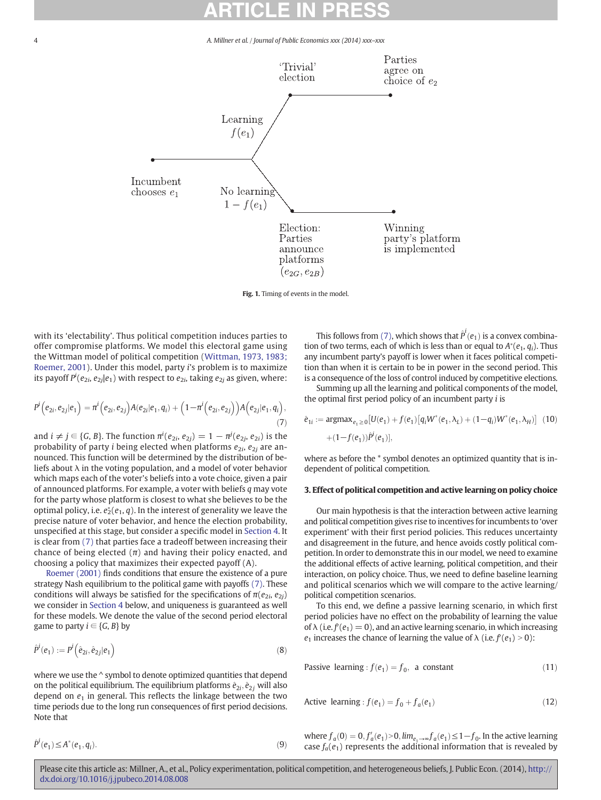4 A. Millner et al. / Journal of Public Economics xxx (2014) xxx–xxx

<span id="page-4-0"></span>

Fig. 1. Timing of events in the model.

with its 'electability'. Thus political competition induces parties to offer compromise platforms. We model this electoral game using the Wittman model of political competition ([Wittman, 1973, 1983;](#page-13-0) [Roemer, 2001\)](#page-13-0). Under this model, party i's problem is to maximize its payoff  $P^i(e_{2i},e_{2j}|e_1)$  with respect to  $e_{2i}$ , taking  $e_{2j}$  as given, where:

$$
P^{i}(e_{2i},e_{2j}|e_1) = \pi^{i}(e_{2i},e_{2j})A(e_{2i}|e_1,q_i) + (1-\pi^{i}(e_{2i},e_{2j}))A(e_{2j}|e_1,q_i),
$$
\n(7)

and  $i\neq j\in\{G, B\}.$  The function  $\pi^i(e_{2i},e_{2j})=1-\pi^j(e_{2j},e_{2i})$  is the probability of party i being elected when platforms  $e_{2i}$ ,  $e_{2j}$  are announced. This function will be determined by the distribution of beliefs about  $\lambda$  in the voting population, and a model of voter behavior which maps each of the voter's beliefs into a vote choice, given a pair of announced platforms. For example, a voter with beliefs q may vote for the party whose platform is closest to what she believes to be the optimal policy, i.e.  $e_2^*(e_1, q)$ . In the interest of generality we leave the precise nature of voter behavior, and hence the election probability, unspecified at this stage, but consider a specific model in [Section 4.](#page-7-0) It is clear from (7) that parties face a tradeoff between increasing their chance of being elected  $(\pi)$  and having their policy enacted, and choosing a policy that maximizes their expected payoff (A).

[Roemer \(2001\)](#page-13-0) finds conditions that ensure the existence of a pure strategy Nash equilibrium to the political game with payoffs (7). These conditions will always be satisfied for the specifications of  $\pi(e_{2i}, e_{2i})$ we consider in [Section 4](#page-7-0) below, and uniqueness is guaranteed as well for these models. We denote the value of the second period electoral game to party  $i \in \{G, B\}$  by

$$
\hat{P}^i(e_1) := P^i\Big(\hat{e}_{2i}, \hat{e}_{2j}|e_1\Big) \tag{8}
$$

where we use the  $\wedge$  symbol to denote optimized quantities that depend on the political equilibrium. The equilibrium platforms  $\hat{e}_{2i}$ ,  $\hat{e}_{2j}$  will also depend on  $e_1$  in general. This reflects the linkage between the two time periods due to the long run consequences of first period decisions. Note that

 $e^*(e_1, q_i).$  (9)

 $\hat{P}^i(e_1) \leq A^*$ 

This follows from (7), which shows that  $\hat{P}^i(e_1)$  is a convex combination of two terms, each of which is less than or equal to  $A^*(e_1, q_i)$ . Thus any incumbent party's payoff is lower when it faces political competition than when it is certain to be in power in the second period. This is a consequence of the loss of control induced by competitive elections.

Summing up all the learning and political components of the model, the optimal first period policy of an incumbent party i is

$$
\hat{e}_{1i} := \operatorname{argmax}_{e_1 \ge 0} [U(e_1) + f(e_1) [q_i W^*(e_1, \lambda_L) + (1 - q_i) W^*(e_1, \lambda_H)] \tag{10}
$$

$$
+ (1 - f(e_1)) \hat{P}^i(e_1)],
$$

where as before the  $*$  symbol denotes an optimized quantity that is independent of political competition.

### 3. Effect of political competition and active learning on policy choice

Our main hypothesis is that the interaction between active learning and political competition gives rise to incentives for incumbents to 'over experiment' with their first period policies. This reduces uncertainty and disagreement in the future, and hence avoids costly political competition. In order to demonstrate this in our model, we need to examine the additional effects of active learning, political competition, and their interaction, on policy choice. Thus, we need to define baseline learning and political scenarios which we will compare to the active learning/ political competition scenarios.

To this end, we define a passive learning scenario, in which first period policies have no effect on the probability of learning the value of  $\lambda$  (i.e.  $f'(e_1) = 0$ ), and an active learning scenario, in which increasing  $e_1$  increases the chance of learning the value of  $\lambda$  (i.e.  $f'(e_1) > 0$ ):

Passive learning: 
$$
f(e_1) = f_0
$$
, a constant (11)

Active learning: 
$$
f(e_1) = f_0 + f_a(e_1)
$$
 (12)

where  $f_a(0) = 0, f'_a(e_1) > 0, \lim_{e_1 \to \infty} f_a(e_1) \leq 1 - f_0$ . In the active learning case  $f_a(e_1)$  represents the additional information that is revealed by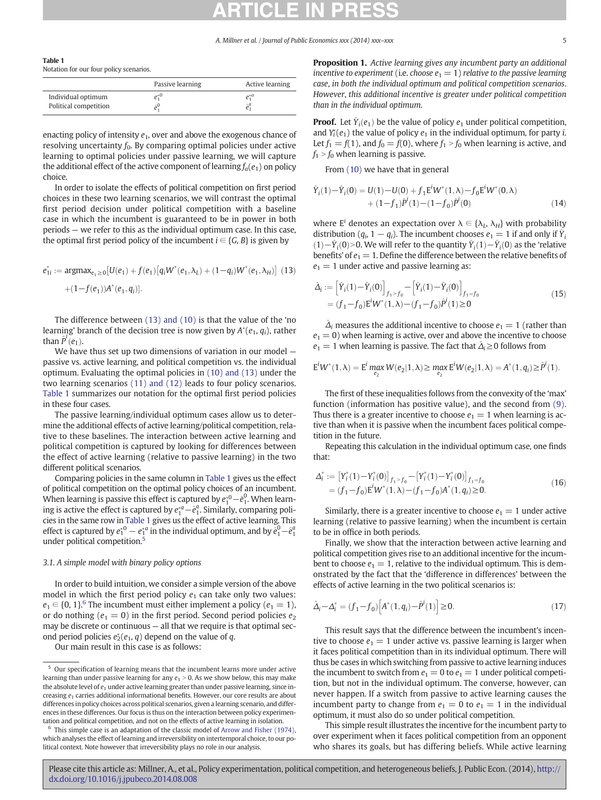<span id="page-5-0"></span>

|--|--|--|--|

Notation for our four policy scenarios.

|                                             | Passive learning | Active learning                   |
|---------------------------------------------|------------------|-----------------------------------|
| Individual optimum<br>Political competition |                  | $e_1^*$ <sup><math>a</math></sup> |

enacting policy of intensity  $e_1$ , over and above the exogenous chance of resolving uncertainty  $f_0$ . By comparing optimal policies under active learning to optimal policies under passive learning, we will capture the additional effect of the active component of learning  $f_a(e_1)$  on policy choice.

In order to isolate the effects of political competition on first period choices in these two learning scenarios, we will contrast the optimal first period decision under political competition with a baseline case in which the incumbent is guaranteed to be in power in both periods — we refer to this as the individual optimum case. In this case, the optimal first period policy of the incumbent  $i \in \{G, B\}$  is given by

$$
e_{1i}^* := \operatorname{argmax}_{e_1 \ge 0} [U(e_1) + f(e_1) [q_i W^*(e_1, \lambda_L) + (1 - q_i) W^*(e_1, \lambda_H)] \tag{13}
$$

$$
+ (1 - f(e_1)) A^*(e_1, q_i)].
$$

The difference between (13) and (10) is that the value of the 'no learning' branch of the decision tree is now given by  $A^*(e_1, q_i)$ , rather than  $\hat{P}^i(e_1)$ .

We have thus set up two dimensions of variation in our model passive vs. active learning, and political competition vs. the individual optimum. Evaluating the optimal policies in [\(10\) and \(13\)](#page-4-0) under the two learning scenarios [\(11\) and \(12\)](#page-4-0) leads to four policy scenarios. Table 1 summarizes our notation for the optimal first period policies in these four cases.

The passive learning/individual optimum cases allow us to determine the additional effects of active learning/political competition, relative to these baselines. The interaction between active learning and political competition is captured by looking for differences between the effect of active learning (relative to passive learning) in the two different political scenarios.

Comparing policies in the same column in Table 1 gives us the effect of political competition on the optimal policy choices of an incumbent. When learning is passive this effect is captured by  $e_1^{*0} - \hat{e}_1^0$ . When learning is active the effect is captured by  $e_1^{*a}-\hat{e}_1^a$ . Similarly, comparing policies in the same row in Table 1 gives us the effect of active learning. This effect is captured by  $e_1^{*0} - e_1^{*a}$  in the individual optimum, and by  $\hat{e}_1^0 - \hat{e}_1^a$ under political competition.<sup>5</sup>

## 3.1. A simple model with binary policy options

In order to build intuition, we consider a simple version of the above model in which the first period policy  $e_1$  can take only two values:  $e_1 \in \{0, 1\}^6$  The incumbent must either implement a policy ( $e_1 = 1$ ), or do nothing ( $e_1 = 0$ ) in the first period. Second period policies  $e_2$ may be discrete or continuous — all that we require is that optimal second period policies  $e_2^*(e_1, q)$  depend on the value of q.

Our main result in this case is as follows:

Proposition 1. Active learning gives any incumbent party an additional incentive to experiment (i.e. choose  $e_1 = 1$ ) relative to the passive learning case, in both the individual optimum and political competition scenarios. However, this additional incentive is greater under political competition than in the individual optimum.

**Proof.** Let  $\hat{Y}_i(e_1)$  be the value of policy  $e_1$  under political competition, and  $Y_i^*(e_1)$  the value of policy  $e_1$  in the individual optimum, for party *i*. Let  $f_1 = f(1)$ , and  $f_0 = f(0)$ , where  $f_1 > f_0$  when learning is active, and  $f_1$  >  $f_0$  when learning is passive.

From [\(10\)](#page-4-0) we have that in general

$$
\hat{Y}_i(1) - \hat{Y}_i(0) = U(1) - U(0) + f_1 E^i W^*(1, \lambda) - f_0 E^i W^*(0, \lambda)
$$
  
+ 
$$
(1 - f_1)\hat{P}^i(1) - (1 - f_0)\hat{P}^i(0)
$$
 (14)

where  $E^i$  denotes an expectation over  $\lambda \in \{\lambda_L, \lambda_H\}$  with probability distribution ( $q_i$ , 1 –  $q_i$ ). The incumbent chooses  $e_1 = 1$  if and only if  $\hat{Y}_i$ (1) − $\hat{Y}_i(0)$  > 0. We will refer to the quantity  $\hat{Y}_i(1) - \hat{Y}_i(0)$  as the 'relative benefits' of  $e_1 = 1$ . Define the difference between the relative benefits of  $e_1 = 1$  under active and passive learning as:

$$
\hat{\Delta}_{i} := \left[ \hat{Y}_{i}(1) - \hat{Y}_{i}(0) \right]_{f_{1} > f_{0}} - \left[ \hat{Y}_{i}(1) - \hat{Y}_{i}(0) \right]_{f_{1} = f_{0}}
$$
\n
$$
= (f_{1} - f_{0}) \mathbf{E}^{i} \mathbf{W}^{*}(1, \lambda) - (f_{1} - f_{0}) \hat{P}^{i}(1) \ge 0
$$
\n(15)

 $\hat{\Delta}_i$  measures the additional incentive to choose  $e_1 = 1$  (rather than  $e_1 = 0$ ) when learning is active, over and above the incentive to choose  $e_1 = 1$  when learning is passive. The fact that  $\hat{\Delta}_i \geq 0$  follows from

$$
E^iW^*(1,\lambda) = E^i \max_{e_2} W(e_2|1,\lambda) \ge \max_{e_2} E^iW(e_2|1,\lambda) = A^*(1,q_i) \ge \hat{P}^i(1).
$$

The first of these inequalities follows from the convexity of the 'max' function (information has positive value), and the second from [\(9\).](#page-4-0) Thus there is a greater incentive to choose  $e_1 = 1$  when learning is active than when it is passive when the incumbent faces political competition in the future.

Repeating this calculation in the individual optimum case, one finds that:

$$
\Delta_i^* := \left[Y_i^*(1) - Y_i^*(0)\right]_{f_1 > f_0} - \left[Y_i^*(1) - Y_i^*(0)\right]_{f_1 = f_0} \\
= (f_1 - f_0) \mathbf{E}^i W^*(1, \lambda) - (f_1 - f_0) A^*(1, q_i) \ge 0.
$$
\n(16)

Similarly, there is a greater incentive to choose  $e_1 = 1$  under active learning (relative to passive learning) when the incumbent is certain to be in office in both periods.

Finally, we show that the interaction between active learning and political competition gives rise to an additional incentive for the incumbent to choose  $e_1 = 1$ , relative to the individual optimum. This is demonstrated by the fact that the 'difference in differences' between the effects of active learning in the two political scenarios is:

$$
\hat{\Delta}_i - \Delta_i^* = (f_1 - f_0) \left[ A^*(1, q_i) - \hat{P}^i(1) \right] \ge 0. \tag{17}
$$

This result says that the difference between the incumbent's incentive to choose  $e_1 = 1$  under active vs. passive learning is larger when it faces political competition than in its individual optimum. There will thus be cases in which switching from passive to active learning induces the incumbent to switch from  $e_1 = 0$  to  $e_1 = 1$  under political competition, but not in the individual optimum. The converse, however, can never happen. If a switch from passive to active learning causes the incumbent party to change from  $e_1 = 0$  to  $e_1 = 1$  in the individual optimum, it must also do so under political competition.

This simple result illustrates the incentive for the incumbent party to over experiment when it faces political competition from an opponent who shares its goals, but has differing beliefs. While active learning

<sup>&</sup>lt;sup>5</sup> Our specification of learning means that the incumbent learns more under active learning than under passive learning for any  $e_1 > 0$ . As we show below, this may make the absolute level of  $e_1$  under active learning greater than under passive learning, since increasing  $e_1$  carries additional informational benefits. However, our core results are about differences in policy choices across political scenarios, given a learning scenario, and differences in these differences. Our focus is thus on the interaction between policy experimentation and political competition, and not on the effects of active learning in isolation.

This simple case is an adaptation of the classic model of [Arrow and Fisher \(1974\)](#page-12-0), which analyses the effect of learning and irreversibility on intertemporal choice, to our political context. Note however that irreversibility plays no role in our analysis.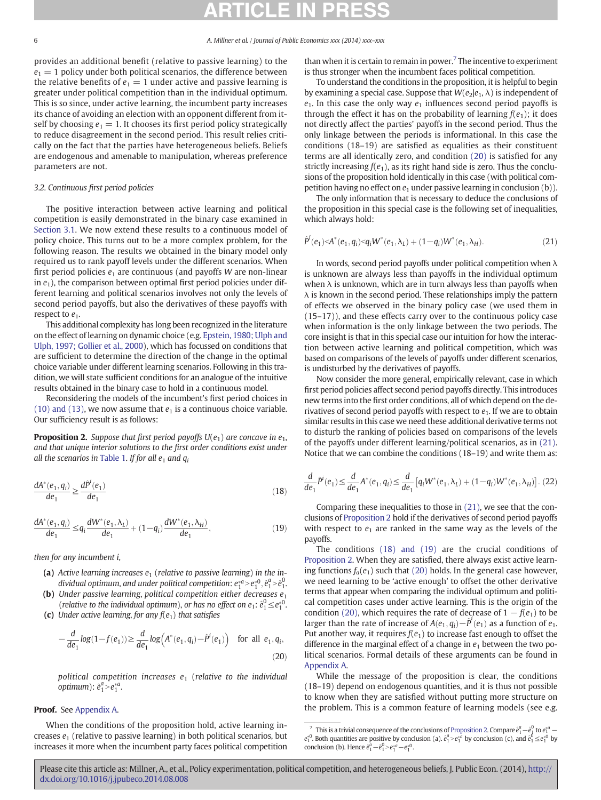<span id="page-6-0"></span>provides an additional benefit (relative to passive learning) to the  $e_1 = 1$  policy under both political scenarios, the difference between the relative benefits of  $e_1 = 1$  under active and passive learning is greater under political competition than in the individual optimum. This is so since, under active learning, the incumbent party increases its chance of avoiding an election with an opponent different from itself by choosing  $e_1 = 1$ . It chooses its first period policy strategically to reduce disagreement in the second period. This result relies critically on the fact that the parties have heterogeneous beliefs. Beliefs are endogenous and amenable to manipulation, whereas preference parameters are not.

## 3.2. Continuous first period policies

The positive interaction between active learning and political competition is easily demonstrated in the binary case examined in [Section 3.1](#page-5-0). We now extend these results to a continuous model of policy choice. This turns out to be a more complex problem, for the following reason. The results we obtained in the binary model only required us to rank payoff levels under the different scenarios. When first period policies  $e_1$  are continuous (and payoffs W are non-linear in  $e_1$ ), the comparison between optimal first period policies under different learning and political scenarios involves not only the levels of second period payoffs, but also the derivatives of these payoffs with respect to  $e_1$ .

This additional complexity has long been recognized in the literature on the effect of learning on dynamic choice (e.g. [Epstein, 1980; Ulph and](#page-12-0) [Ulph, 1997; Gollier et al., 2000\)](#page-12-0), which has focussed on conditions that are sufficient to determine the direction of the change in the optimal choice variable under different learning scenarios. Following in this tradition, we will state sufficient conditions for an analogue of the intuitive results obtained in the binary case to hold in a continuous model.

Reconsidering the models of the incumbent's first period choices in [\(10\) and \(13\)](#page-4-0), we now assume that  $e_1$  is a continuous choice variable. Our sufficiency result is as follows:

**Proposition 2.** Suppose that first period payoffs  $U(e_1)$  are concave in  $e_1$ , and that unique interior solutions to the first order conditions exist under all the scenarios in [Table 1.](#page-5-0) If for all  $e_1$  and  $q_i$ 

$$
\frac{dA^*(e_1, q_i)}{de_1} \ge \frac{d\hat{P}^i(e_1)}{de_1} \tag{18}
$$

$$
\frac{dA^{*}(e_1, q_i)}{de_1} \le q_i \frac{dW^{*}(e_1, \lambda_L)}{de_1} + (1 - q_i) \frac{dW^{*}(e_1, \lambda_H)}{de_1},
$$
\n(19)

then for any incumbent i,

- (a) Active learning increases  $e_1$  (relative to passive learning) in the individual optimum, and under political competition:  $e_1^{*a} > e_1^{*0}$ ,  $\hat{e}_1^a > \hat{e}_1^0$ .
- (b) Under passive learning, political competition either decreases  $e_1$ (relative to the individual optimum), or has no effect on  $e_1$ :  $\hat{e}_1^0 \leq e_1^{*0}$ .
- (c) Under active learning, for any  $f(e_1)$  that satisfies

$$
-\frac{d}{de_1}log(1-f(e_1)) \ge \frac{d}{de_1}log(\mathbf{A}^*(e_1, q_i) - \hat{P}^i(e_1)) \quad \text{for all } e_1, q_i,
$$
\n(20)

political competition increases  $e_1$  (relative to the individual optimum):  $\hat{e}_1^a > e_1^*a$ .

## Proof. See [Appendix A.](#page-9-0)

When the conditions of the proposition hold, active learning increases  $e_1$  (relative to passive learning) in both political scenarios, but increases it more when the incumbent party faces political competition than when it is certain to remain in power.<sup>7</sup> The incentive to experiment is thus stronger when the incumbent faces political competition.

To understand the conditions in the proposition, it is helpful to begin by examining a special case. Suppose that  $W(e_2|e_1, \lambda)$  is independent of  $e_1$ . In this case the only way  $e_1$  influences second period payoffs is through the effect it has on the probability of learning  $f(e_1)$ ; it does not directly affect the parties' payoffs in the second period. Thus the only linkage between the periods is informational. In this case the conditions (18–19) are satisfied as equalities as their constituent terms are all identically zero, and condition (20) is satisfied for any strictly increasing  $f(e_1)$ , as its right hand side is zero. Thus the conclusions of the proposition hold identically in this case (with political competition having no effect on  $e_1$  under passive learning in conclusion (b)).

The only information that is necessary to deduce the conclusions of the proposition in this special case is the following set of inequalities, which always hold:

$$
\hat{P}^i(e_1) < A^*(e_1, q_i) < q_i W^*(e_1, \lambda_L) + (1 - q_i) W^*(e_1, \lambda_H). \tag{21}
$$

In words, second period payoffs under political competition when  $\lambda$ is unknown are always less than payoffs in the individual optimum when  $\lambda$  is unknown, which are in turn always less than payoffs when  $\lambda$  is known in the second period. These relationships imply the pattern of effects we observed in the binary policy case (we used them in (15–17)), and these effects carry over to the continuous policy case when information is the only linkage between the two periods. The core insight is that in this special case our intuition for how the interaction between active learning and political competition, which was based on comparisons of the levels of payoffs under different scenarios, is undisturbed by the derivatives of payoffs.

Now consider the more general, empirically relevant, case in which first period policies affect second period payoffs directly. This introduces new terms into the first order conditions, all of which depend on the derivatives of second period payoffs with respect to  $e_1$ . If we are to obtain similar results in this case we need these additional derivative terms not to disturb the ranking of policies based on comparisons of the levels of the payoffs under different learning/political scenarios, as in (21). Notice that we can combine the conditions (18–19) and write them as:

$$
\frac{d}{de_1}\hat{P}^i(e_1) \le \frac{d}{de_1}A^*(e_1, q_i) \le \frac{d}{de_1}\left[q_iW^*(e_1, \lambda_L) + (1-q_i)W^*(e_1, \lambda_H)\right].
$$
 (22)

Comparing these inequalities to those in (21), we see that the conclusions of Proposition 2 hold if the derivatives of second period payoffs with respect to  $e_1$  are ranked in the same way as the levels of the payoffs.

The conditions (18) and (19) are the crucial conditions of Proposition 2. When they are satisfied, there always exist active learning functions  $f_a(e_1)$  such that (20) holds. In the general case however, we need learning to be 'active enough' to offset the other derivative terms that appear when comparing the individual optimum and political competition cases under active learning. This is the origin of the condition (20), which requires the rate of decrease of  $1 - f(e_1)$  to be larger than the rate of increase of  $A(e_1, q_i) - \hat{P}^i(e_1)$  as a function of  $e_1$ . Put another way, it requires  $f(e_1)$  to increase fast enough to offset the difference in the marginal effect of a change in  $e_1$  between the two political scenarios. Formal details of these arguments can be found in [Appendix A](#page-9-0).

While the message of the proposition is clear, the conditions (18–19) depend on endogenous quantities, and it is thus not possible to know when they are satisfied without putting more structure on the problem. This is a common feature of learning models (see e.g.

<sup>&</sup>lt;sup>7</sup> This is a trivial consequence of the conclusions of Proposition 2. Compare  $\hat{e}_1^a - \hat{e}_1^0$  to  $e_1^{*a}$  $e_1^*$ <sup>0</sup>. Both quantities are positive by conclusion (a).  $\hat{e}_1^a > e_1^{*a}$  by conclusion (c), and  $\hat{e}_1^0 \leq e_1^{*0}$  by conclusion (b). Hence  $\hat{e}_1^a - \hat{e}_1^0 > e_1^{*a} - e_1^{*0}$ .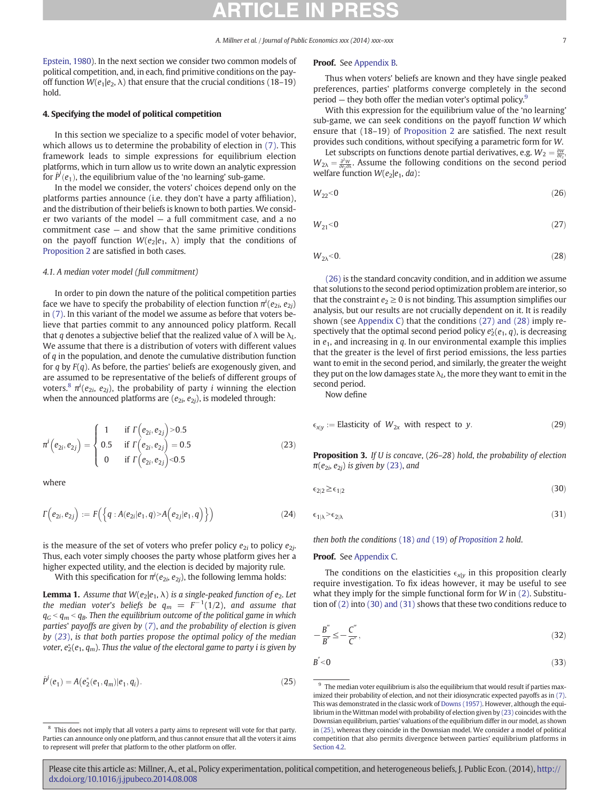<span id="page-7-0"></span>[Epstein, 1980](#page-12-0)). In the next section we consider two common models of political competition, and, in each, find primitive conditions on the payoff function  $W(e_1|e_2, \lambda)$  that ensure that the crucial conditions (18–19) hold.

#### 4. Specifying the model of political competition

In this section we specialize to a specific model of voter behavior, which allows us to determine the probability of election in [\(7\)](#page-4-0). This framework leads to simple expressions for equilibrium election platforms, which in turn allow us to write down an analytic expression for  $\hat{P}^i(e_1)$ , the equilibrium value of the 'no learning' sub-game.

In the model we consider, the voters' choices depend only on the platforms parties announce (i.e. they don't have a party affiliation), and the distribution of their beliefs is known to both parties. We consider two variants of the model — a full commitment case, and a no commitment case — and show that the same primitive conditions on the payoff function  $W(e_2|e_1, \lambda)$  imply that the conditions of [Proposition 2](#page-6-0) are satisfied in both cases.

#### 4.1. A median voter model (full commitment)

In order to pin down the nature of the political competition parties face we have to specify the probability of election function  $\pi^i(e_{2i},e_{2j})$ in [\(7\).](#page-4-0) In this variant of the model we assume as before that voters believe that parties commit to any announced policy platform. Recall that q denotes a subjective belief that the realized value of  $\lambda$  will be  $\lambda_L$ . We assume that there is a distribution of voters with different values of  $q$  in the population, and denote the cumulative distribution function for  $q$  by  $F(q)$ . As before, the parties' beliefs are exogenously given, and are assumed to be representative of the beliefs of different groups of voters. $^8$   $\pi^i(e_{2i},\,e_{2j})$ , the probability of party  $i$  winning the election when the announced platforms are ( $e_{2i}$ ,  $e_{2j}$ ), is modeled through:

$$
\pi^{i}(e_{2i}, e_{2j}) = \begin{cases}\n1 & \text{if } \Gamma(e_{2i}, e_{2j}) > 0.5 \\
0.5 & \text{if } \Gamma(e_{2i}, e_{2j}) = 0.5 \\
0 & \text{if } \Gamma(e_{2i}, e_{2j}) < 0.5\n\end{cases}
$$
\n(23)

where

$$
\Gamma(e_{2i}, e_{2j}) := F\Big(\Big\{q : A(e_{2i}|e_1, q) > A\Big(e_{2j}|e_1, q\Big)\Big\}\Big) \tag{24}
$$

is the measure of the set of voters who prefer policy  $e_{2i}$  to policy  $e_{2i}$ . Thus, each voter simply chooses the party whose platform gives her a higher expected utility, and the election is decided by majority rule.

With this specification for  $\pi^i(e_{2i},e_{2j})$ , the following lemma holds:

**Lemma 1.** Assume that  $W(e_2|e_1, \lambda)$  is a single-peaked function of  $e_2$ . Let the median voter's beliefs be  $q_m = F^{-1}(1/2)$ , and assume that  $q_G < q_m < q_B$ . Then the equilibrium outcome of the political game in which parties' payoffs are given by ([7](#page-4-0)), and the probability of election is given by (23), is that both parties propose the optimal policy of the median voter,  $e_2^*(e_1, q_m)$ . Thus the value of the electoral game to party i is given by

$$
\hat{P}^i(e_1) = A(e_2^*(e_1, q_m)|e_1, q_i). \tag{25}
$$

#### Proof. See [Appendix B](#page-10-0).

Thus when voters' beliefs are known and they have single peaked preferences, parties' platforms converge completely in the second period  $-$  they both offer the median voter's optimal policy.<sup>9</sup>

With this expression for the equilibrium value of the 'no learning' sub-game, we can seek conditions on the payoff function W which ensure that (18–19) of [Proposition 2](#page-6-0) are satisfied. The next result provides such conditions, without specifying a parametric form for W.

Let subscripts on functions denote partial derivatives, e.g.  $W_2 = \frac{\partial W}{\partial e_2}$  $W_{2\lambda} = \frac{\partial^2 W}{\partial e_2 \partial \lambda}$ . Assume the following conditions on the second period welfare function  $W(e_2|e_1, da)$ :

$$
W_{22} < 0 \tag{26}
$$

$$
W_{21} < 0 \tag{27}
$$

$$
W_{2\lambda} < 0. \tag{28}
$$

(26) is the standard concavity condition, and in addition we assume that solutions to the second period optimization problem are interior, so that the constraint  $e_2 \geq 0$  is not binding. This assumption simplifies our analysis, but our results are not crucially dependent on it. It is readily shown (see [Appendix C](#page-11-0)) that the conditions (27) and (28) imply respectively that the optimal second period policy  $e_2^*(e_1, q)$ , is decreasing in  $e_1$ , and increasing in  $q$ . In our environmental example this implies that the greater is the level of first period emissions, the less parties want to emit in the second period, and similarly, the greater the weight they put on the low damages state  $\lambda_L$ , the more they want to emit in the second period.

Now define

$$
\epsilon_{x|y} := \text{Elasticity of } W_{2x} \text{ with respect to } y. \tag{29}
$$

**Proposition 3.** If U is concave, (26-28) hold, the probability of election  $\pi(e_{2i}, e_{2j})$  is given by (23), and

$$
\epsilon_{2|2} \geq \epsilon_{1|2} \tag{30}
$$

$$
\epsilon_{1|\lambda} > \epsilon_{2|\lambda} \tag{31}
$$

then both the conditions [\(18\)](#page-6-0) and (19) of [Proposition](#page-6-0) 2 hold.

#### Proof. See [Appendix C](#page-11-0).

The conditions on the elasticities  $\epsilon_{x|y}$  in this proposition clearly require investigation. To fix ideas however, it may be useful to see what they imply for the simple functional form for  $W$  in  $(2)$ . Substitution of [\(2\)](#page-3-0) into (30) and (31) shows that these two conditions reduce to

$$
-\frac{B^{''}}{B^{''}} \le -\frac{C^{''}}{C^{''}},\tag{32}
$$

$$
B^{''}<0
$$
 (33)

 $^9\,$  The median voter equilibrium is also the equilibrium that would result if parties maximized their probability of election, and not their idiosyncratic expected payoffs as in [\(7\)](#page-4-0). This was demonstrated in the classic work of [Downs \(1957\)](#page-12-0). However, although the equilibrium in theWittman model with probability of election given by (23) coincides with the Downsian equilibrium, parties' valuations of the equilibrium differ in our model, as shown in (25), whereas they coincide in the Downsian model. We consider a model of political competition that also permits divergence between parties' equilibrium platforms in [Section 4.2](#page-8-0).

<sup>&</sup>lt;sup>8</sup> This does not imply that all voters a party aims to represent will vote for that party. Parties can announce only one platform, and thus cannot ensure that all the voters it aims to represent will prefer that platform to the other platform on offer.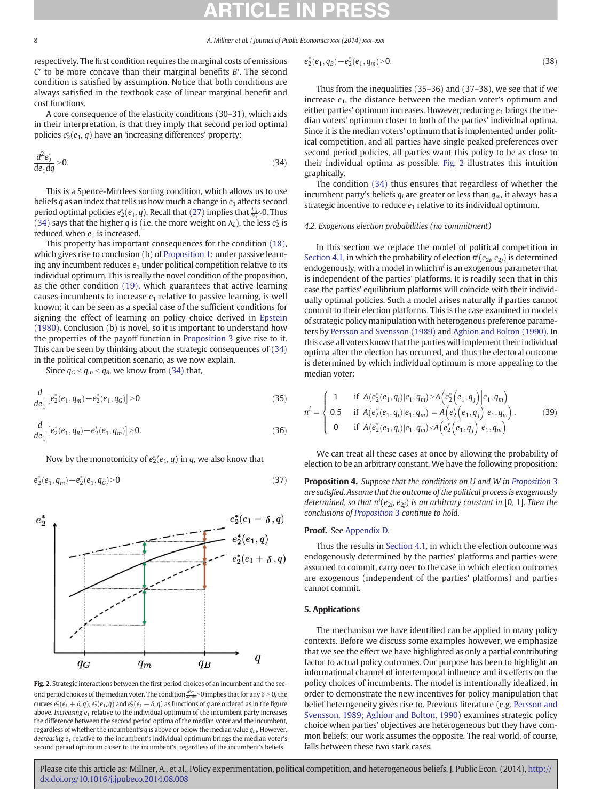<span id="page-8-0"></span>respectively. The first condition requires the marginal costs of emissions  $C'$  to be more concave than their marginal benefits  $B'$ . The second condition is satisfied by assumption. Notice that both conditions are always satisfied in the textbook case of linear marginal benefit and cost functions.

A core consequence of the elasticity conditions (30–31), which aids in their interpretation, is that they imply that second period optimal policies  $e_2^*(e_1, q)$  have an 'increasing differences' property:

$$
\frac{d^2e_2^*}{de_1dq} > 0.
$$
\n(34)

This is a Spence-Mirrlees sorting condition, which allows us to use beliefs q as an index that tells us how much a change in  $e_1$  affects second period optimal policies  $e^*_2(e_1, q)$ . Recall that  $(27)$  implies that  $\frac{de^*_2}{de_1}$ <0. Thus (34) says that the higher q is (i.e. the more weight on  $\lambda_L$ ), the less  $e_2^*$  is reduced when  $e_1$  is increased.

This property has important consequences for the condition [\(18\),](#page-6-0) which gives rise to conclusion (b) of [Proposition 1:](#page-5-0) under passive learning any incumbent reduces  $e_1$  under political competition relative to its individual optimum. This is really the novel condition of the proposition, as the other condition [\(19\)](#page-6-0), which guarantees that active learning causes incumbents to increase  $e_1$  relative to passive learning, is well known; it can be seen as a special case of the sufficient conditions for signing the effect of learning on policy choice derived in [Epstein](#page-12-0) [\(1980\).](#page-12-0) Conclusion (b) is novel, so it is important to understand how the properties of the payoff function in [Proposition 3](#page-7-0) give rise to it. This can be seen by thinking about the strategic consequences of (34) in the political competition scenario, as we now explain.

Since  $q_G < q_m < q_B$ , we know from (34) that,

$$
\frac{d}{de_1}\left[e_2^*(e_1, q_m) - e_2^*(e_1, q_G)\right] > 0\tag{35}
$$

$$
\frac{d}{de_1}\left[e_2^*(e_1, q_B) - e_2^*(e_1, q_m)\right] > 0. \tag{36}
$$

Now by the monotonicity of  $e_2^*(e_1, q)$  in q, we also know that

$$
e_2^*(e_1, q_m) - e_2^*(e_1, q_G) > 0 \tag{37}
$$



Fig. 2. Strategic interactions between the first period choices of an incumbent and the second period choices of the median voter. The condition  $\frac{d^2e^*_2}{de_1\bar{d}q}$  > 0 implies that for any  $\delta$  > 0, the curves  $e_2^*(e_1 + \delta, q)$ ,  $e_2^*(e_1, q)$  and  $e_2^*(e_1 - \delta, q)$  as functions of q are ordered as in the figure above. Increasing  $e_1$  relative to the individual optimum of the incumbent party increases the difference between the second period optima of the median voter and the incumbent, regardless of whether the incumbent's q is above or below the median value  $q_m$ . However, decreasing  $e_1$  relative to the incumbent's individual optimum brings the median voter's second period optimum closer to the incumbent's, regardless of the incumbent's beliefs.

$$
e_2^*(e_1, q_B) - e_2^*(e_1, q_m) > 0. \tag{38}
$$

Thus from the inequalities (35–36) and (37–38), we see that if we increase  $e_1$ , the distance between the median voter's optimum and either parties' optimum increases. However, reducing  $e_1$  brings the median voters' optimum closer to both of the parties' individual optima. Since it is the median voters' optimum that is implemented under political competition, and all parties have single peaked preferences over second period policies, all parties want this policy to be as close to their individual optima as possible. Fig. 2 illustrates this intuition graphically.

The condition (34) thus ensures that regardless of whether the incumbent party's beliefs  $q_i$  are greater or less than  $q_m$ , it always has a strategic incentive to reduce  $e_1$  relative to its individual optimum.

### 4.2. Exogenous election probabilities (no commitment)

In this section we replace the model of political competition in [Section 4.1,](#page-7-0) in which the probability of election  $\pi^{i}(e_{2i}, e_{2j})$  is determined endogenously, with a model in which  $\pi^{i}$  is an exogenous parameter that is independent of the parties' platforms. It is readily seen that in this case the parties' equilibrium platforms will coincide with their individually optimal policies. Such a model arises naturally if parties cannot commit to their election platforms. This is the case examined in models of strategic policy manipulation with heterogenous preference parameters by [Persson and Svensson \(1989\)](#page-13-0) and [Aghion and Bolton \(1990\).](#page-12-0) In this case all voters know that the parties will implement their individual optima after the election has occurred, and thus the electoral outcome is determined by which individual optimum is more appealing to the median voter:

$$
\pi^{i} = \begin{cases}\n1 & \text{if } A(e_{2}^{*}(e_{1}, q_{i})|e_{1}, q_{m}) > A(e_{2}^{*}(e_{1}, q_{j})|e_{1}, q_{m}) \\
0.5 & \text{if } A(e_{2}^{*}(e_{1}, q_{i})|e_{1}, q_{m}) = A(e_{2}^{*}(e_{1}, q_{j})|e_{1}, q_{m}). \\
0 & \text{if } A(e_{2}^{*}(e_{1}, q_{i})|e_{1}, q_{m}) < A(e_{2}^{*}(e_{1}, q_{j})|e_{1}, q_{m})\n\end{cases}
$$
\n(39)

We can treat all these cases at once by allowing the probability of election to be an arbitrary constant. We have the following proposition:

[Proposition](#page-7-0) 4. Suppose that the conditions on U and W in Proposition 3 are satisfied. Assume that the outcome of the political process is exogenously determined, so that  $\pi^{i}(e_{2i},e_{2j})$  is an arbitrary constant in [0, 1]. Then the conclusions of [Proposition](#page-7-0) 3 continue to hold.

### Proof. See [Appendix D](#page-12-0).

Thus the results in [Section 4.1](#page-7-0), in which the election outcome was endogenously determined by the parties' platforms and parties were assumed to commit, carry over to the case in which election outcomes are exogenous (independent of the parties' platforms) and parties cannot commit.

#### 5. Applications

The mechanism we have identified can be applied in many policy contexts. Before we discuss some examples however, we emphasize that we see the effect we have highlighted as only a partial contributing factor to actual policy outcomes. Our purpose has been to highlight an informational channel of intertemporal influence and its effects on the policy choices of incumbents. The model is intentionally idealized, in order to demonstrate the new incentives for policy manipulation that belief heterogeneity gives rise to. Previous literature (e.g. [Persson and](#page-13-0) [Svensson, 1989; Aghion and Bolton, 1990\)](#page-13-0) examines strategic policy choice when parties' objectives are heterogeneous but they have common beliefs; our work assumes the opposite. The real world, of course, falls between these two stark cases.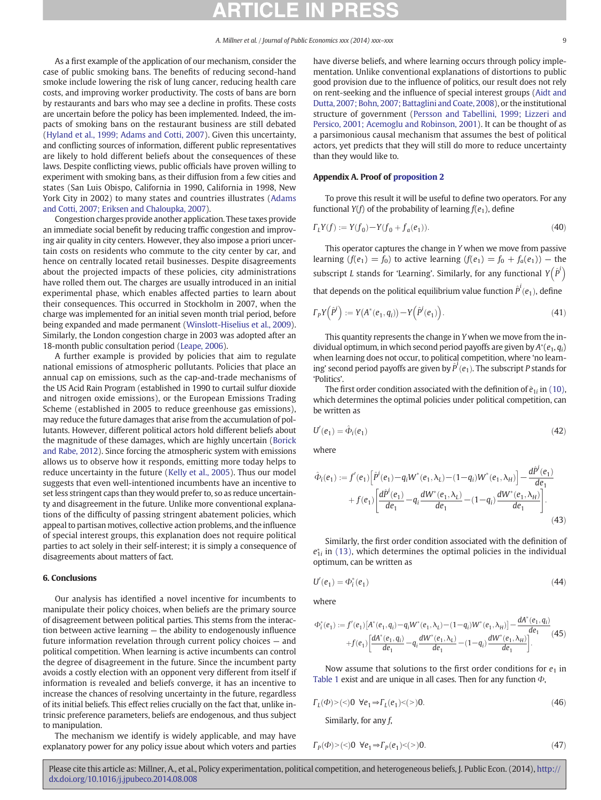<span id="page-9-0"></span>As a first example of the application of our mechanism, consider the case of public smoking bans. The benefits of reducing second-hand smoke include lowering the risk of lung cancer, reducing health care costs, and improving worker productivity. The costs of bans are born by restaurants and bars who may see a decline in profits. These costs are uncertain before the policy has been implemented. Indeed, the impacts of smoking bans on the restaurant business are still debated [\(Hyland et al., 1999; Adams and Cotti, 2007\)](#page-13-0). Given this uncertainty, and conflicting sources of information, different public representatives are likely to hold different beliefs about the consequences of these laws. Despite conflicting views, public officials have proven willing to experiment with smoking bans, as their diffusion from a few cities and states (San Luis Obispo, California in 1990, California in 1998, New York City in 2002) to many states and countries illustrates ([Adams](#page-12-0) [and Cotti, 2007; Eriksen and Chaloupka, 2007\)](#page-12-0).

Congestion charges provide another application. These taxes provide an immediate social benefit by reducing traffic congestion and improving air quality in city centers. However, they also impose a priori uncertain costs on residents who commute to the city center by car, and hence on centrally located retail businesses. Despite disagreements about the projected impacts of these policies, city administrations have rolled them out. The charges are usually introduced in an initial experimental phase, which enables affected parties to learn about their consequences. This occurred in Stockholm in 2007, when the charge was implemented for an initial seven month trial period, before being expanded and made permanent ([Winslott-Hiselius et al., 2009](#page-13-0)). Similarly, the London congestion charge in 2003 was adopted after an 18-month public consultation period ([Leape, 2006](#page-13-0)).

A further example is provided by policies that aim to regulate national emissions of atmospheric pollutants. Policies that place an annual cap on emissions, such as the cap-and-trade mechanisms of the US Acid Rain Program (established in 1990 to curtail sulfur dioxide and nitrogen oxide emissions), or the European Emissions Trading Scheme (established in 2005 to reduce greenhouse gas emissions), may reduce the future damages that arise from the accumulation of pollutants. However, different political actors hold different beliefs about the magnitude of these damages, which are highly uncertain ([Borick](#page-12-0) [and Rabe, 2012](#page-12-0)). Since forcing the atmospheric system with emissions allows us to observe how it responds, emitting more today helps to reduce uncertainty in the future ([Kelly et al., 2005\)](#page-13-0). Thus our model suggests that even well-intentioned incumbents have an incentive to set less stringent caps than they would prefer to, so as reduce uncertainty and disagreement in the future. Unlike more conventional explanations of the difficulty of passing stringent abatement policies, which appeal to partisan motives, collective action problems, and the influence of special interest groups, this explanation does not require political parties to act solely in their self-interest; it is simply a consequence of disagreements about matters of fact.

### 6. Conclusions

Our analysis has identified a novel incentive for incumbents to manipulate their policy choices, when beliefs are the primary source of disagreement between political parties. This stems from the interaction between active learning — the ability to endogenously influence future information revelation through current policy choices — and political competition. When learning is active incumbents can control the degree of disagreement in the future. Since the incumbent party avoids a costly election with an opponent very different from itself if information is revealed and beliefs converge, it has an incentive to increase the chances of resolving uncertainty in the future, regardless of its initial beliefs. This effect relies crucially on the fact that, unlike intrinsic preference parameters, beliefs are endogenous, and thus subject to manipulation.

The mechanism we identify is widely applicable, and may have explanatory power for any policy issue about which voters and parties have diverse beliefs, and where learning occurs through policy implementation. Unlike conventional explanations of distortions to public good provision due to the influence of politics, our result does not rely on rent-seeking and the influence of special interest groups ([Aidt and](#page-12-0) [Dutta, 2007; Bohn, 2007; Battaglini and Coate, 2008\)](#page-12-0), or the institutional structure of government ([Persson and Tabellini, 1999; Lizzeri and](#page-13-0) [Persico, 2001; Acemoglu and Robinson, 2001](#page-13-0)). It can be thought of as a parsimonious causal mechanism that assumes the best of political actors, yet predicts that they will still do more to reduce uncertainty than they would like to.

#### Appendix A. Proof of [proposition 2](#page-6-0)

To prove this result it will be useful to define two operators. For any functional  $Y(f)$  of the probability of learning  $f(e_1)$ , define

$$
\Gamma_L Y(f) := Y(f_0) - Y(f_0 + f_a(e_1)).\tag{40}
$$

This operator captures the change in Y when we move from passive learning  $(f(e_1) = f_0)$  to active learning  $(f(e_1) = f_0 + f_a(e_1))$  – the subscript *L* stands for 'Learning'. Similarly, for any functional  $Y(\hat{P}^i)$ 

that depends on the political equilibrium value function  $\hat{P}^i(e_1)$ , define

$$
\Gamma_P Y(\hat{P}^i) := Y(A^*(e_1, q_i)) - Y(\hat{P}^i(e_1)). \tag{41}
$$

This quantity represents the change in Y when we move from the individual optimum, in which second period payoffs are given by  $A^*(e_1, q_i)$ when learning does not occur, to political competition, where 'no learning' second period payoffs are given by  $\hat{P}^i(e_1)$ . The subscript P stands for 'Politics'.

The first order condition associated with the definition of  $\hat{e}_{1i}$  in [\(10\),](#page-4-0) which determines the optimal policies under political competition, can be written as

$$
U'(e_1) = \hat{\Phi}_i(e_1) \tag{42}
$$

where

$$
\hat{\Phi}_{i}(e_{1}) := f'(e_{1}) \left[ \hat{P}^{i}(e_{1}) - q_{i}W^{*}(e_{1}, \lambda_{L}) - (1 - q_{i})W^{*}(e_{1}, \lambda_{H}) \right] - \frac{d\hat{P}^{i}(e_{1})}{de_{1}} + f(e_{1}) \left[ \frac{d\hat{P}^{i}(e_{1})}{de_{1}} - q_{i} \frac{dW^{*}(e_{1}, \lambda_{L})}{de_{1}} - (1 - q_{i}) \frac{dW^{*}(e_{1}, \lambda_{H})}{de_{1}} \right].
$$
\n(43)

Similarly, the first order condition associated with the definition of  $e_{1i}^{*}$  in [\(13\),](#page-5-0) which determines the optimal policies in the individual optimum, can be written as

$$
U'(e_1) = \Phi_i^*(e_1) \tag{44}
$$

where

$$
\Phi_i^*(e_1) := f'(e_1) \left[ A^*(e_1, q_i) - q_i W^*(e_1, \lambda_L) - (1 - q_i) W^*(e_1, \lambda_H) \right] - \frac{d A^*(e_1, q_i)}{d e_1} + f(e_1) \left[ \frac{d A^*(e_1, q_i)}{d e_1} - q_i \frac{d W^*(e_1, \lambda_L)}{d e_1} - (1 - q_i) \frac{d W^*(e_1, \lambda_H)}{d e_1} \right].
$$
\n(45)

Now assume that solutions to the first order conditions for  $e_1$  in [Table 1](#page-5-0) exist and are unique in all cases. Then for any function  $\Phi$ ,

$$
\Gamma_L(\Phi) > \langle < \rangle \mathbf{0} \quad \forall \mathbf{e}_1 \Rightarrow \Gamma_L(\mathbf{e}_1) < \langle > \rangle \mathbf{0}.\tag{46}
$$

Similarly, for any  $f$ ,

$$
\Gamma_P(\Phi) > \left( < \right) 0 \ \forall e_1 \Rightarrow \Gamma_P(e_1) < \left( > \right) 0. \tag{47}
$$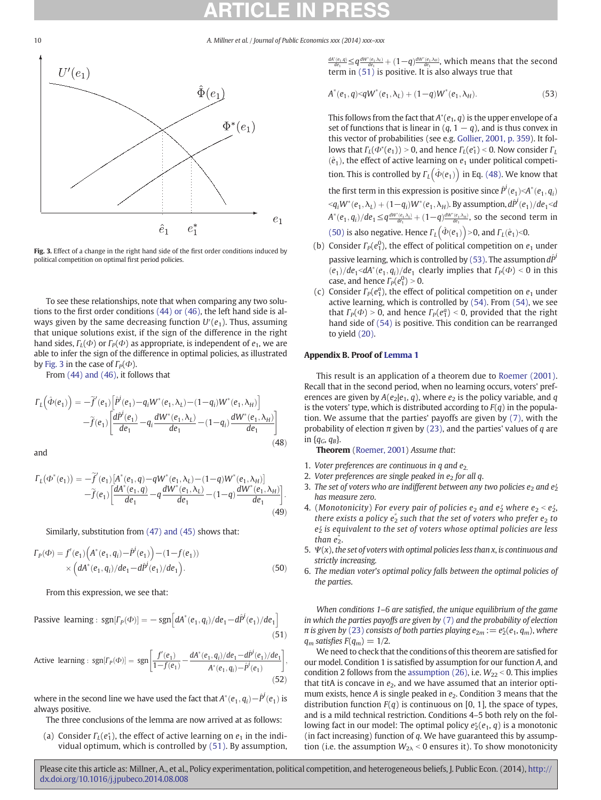

Fig. 3. Effect of a change in the right hand side of the first order conditions induced by political competition on optimal first period policies.

To see these relationships, note that when comparing any two solutions to the first order conditions [\(44\) or \(46\),](#page-9-0) the left hand side is always given by the same decreasing function  $U'(e_1)$ . Thus, assuming that unique solutions exist, if the sign of the difference in the right hand sides,  $\Gamma_l(\Phi)$  or  $\Gamma_p(\Phi)$  as appropriate, is independent of  $e_1$ , we are able to infer the sign of the difference in optimal policies, as illustrated by Fig. 3 in the case of  $\Gamma_P(\Phi)$ .

From [\(44\) and \(46\)](#page-9-0), it follows that

$$
\Gamma_{L}(\hat{\Phi}(e_{1})) = -\tilde{f}'(e_{1}) \left[ \tilde{P}^{i}(e_{1}) - q_{i}W^{*}(e_{1}, \lambda_{L}) - (1 - q_{i})W^{*}(e_{1}, \lambda_{H}) \right] \n- \tilde{f}(e_{1}) \left[ \frac{d\tilde{P}^{i}(e_{1})}{de_{1}} - q_{i} \frac{dW^{*}(e_{1}, \lambda_{L})}{de_{1}} - (1 - q_{i}) \frac{dW^{*}(e_{1}, \lambda_{H})}{de_{1}} \right]
$$
\n(48)

and

$$
\Gamma_{L}(\Phi^{*}(e_{1})) = -\tilde{f}'(e_{1})\left[A^{*}(e_{1}, q) - qW^{*}(e_{1}, \lambda_{L}) - (1-q)W^{*}(e_{1}, \lambda_{H})\right] - \tilde{f}(e_{1})\left[\frac{dA^{*}(e_{1}, q)}{de_{1}} - q\frac{dW^{*}(e_{1}, \lambda_{L})}{de_{1}} - (1-q)\frac{dW^{*}(e_{1}, \lambda_{H})}{de_{1}}\right].
$$
\n(49)

Similarly, substitution from [\(47\) and \(45\)](#page-9-0) shows that:

$$
\Gamma_P(\Phi) = f'(e_1) \Big( A^*(e_1, q_i) - \hat{P}^i(e_1) \Big) - (1 - f(e_1)) \times \Big( dA^*(e_1, q_i) / de_1 - d\hat{P}^i(e_1) / de_1 \Big).
$$
\n(50)

From this expression, we see that:

Passive learning: sgn
$$
[F_P(\Phi)] = -sgn\left[dA^*(e_1, q_i)/de_1 - d\hat{P}^i(e_1)/de_1\right]
$$
 (51)

Active learning :  $sgn[\Gamma_p(\Phi)] = sgn\left[\frac{f'(e_1)}{1-f(e_1)} - \frac{dA^*(e_1, q_i)/de_1 - d\hat{P}^i(e_1)/de_1}{A^*(e_1, q_i) - \hat{P}^i(e_1)}\right]$  $\left[\frac{f'(e_1)}{1-f(e_1)} - \frac{dA^*(e_1, q_i)/de_1 - d\hat{P}'(e_1)/de_1}{A^*(e_1, q_i) - \hat{P}'(e_1)}\right],$  $(52)$ 

where in the second line we have used the fact that  $A^*(e_1, q_i) - \hat{P}^i(e_1)$  is always positive.

The three conclusions of the lemma are now arrived at as follows:

(a) Consider  $\Gamma_L(e_1^*)$ , the effect of active learning on  $e_1$  in the individual optimum, which is controlled by (51). By assumption,  $\frac{dA^*(e_1,q)}{de_1} \leq q \frac{dW^*(e_1,\lambda_L)}{de_1} + (1-q) \frac{dW^*(e_1,\lambda_H)}{de_1}$ , which means that the second term in (51) is positive. It is also always true that

$$
A^*(e_1, q) < qW^*(e_1, \lambda_L) + (1-q)W^*(e_1, \lambda_H).
$$
 (53)

This follows from the fact that  $A^*(e_1, q)$  is the upper envelope of a set of functions that is linear in  $(q, 1 - q)$ , and is thus convex in this vector of probabilities (see e.g. [Gollier, 2001, p. 359](#page-13-0)). It follows that  $\Gamma_L(\Phi^*(e_1)) > 0$ , and hence  $\Gamma_L(e_1^*) < 0$ . Now consider  $\Gamma_L$  $(\hat{e}_1)$ , the effect of active learning on  $e_1$  under political competition. This is controlled by  $\Gamma_L(\hat{\Phi}(e_1))$  in Eq. (48). We know that

the first term in this expression is positive since  $\hat{P}^i(e_1) < A^*(e_1, q_i)$  $\langle q_iW^*(e_1,\lambda_L)+(1-q_i)W^*(e_1,\lambda_H)$ . By assumption,  $d\hat{P}^i(e_1)/de_1$  $A^*(e_1,q_i)/de_1\leq q\frac{dW^*(e_1,\lambda_i)}{de_1}+(1-q)\frac{dW^*(e_1,\lambda_{H})}{de_1}$ , so the second term in (50) is also negative. Hence  $\Gamma_L(\hat{\Phi}(e_1))$  > 0, and  $\Gamma_L(\hat{e}_1)$  < 0.

- (b) Consider  $\Gamma_P(e_1^0)$ , the effect of political competition on  $e_1$  under passive learning, which is controlled by (53). The assumption  $d\hat{P}$  $(e_1)/de_1 < dA^*(e_1, q_i)/de_1$  clearly implies that  $\Gamma_P(\Phi) < 0$  in this case, and hence  $\Gamma_P(e_1^0) > 0$ .
- (c) Consider  $\Gamma_P(e_1^a)$ , the effect of political competition on  $e_1$  under active learning, which is controlled by [\(54\).](#page-11-0) From [\(54\),](#page-11-0) we see that  $\Gamma_P(\Phi) > 0$ , and hence  $\Gamma_P(e_1^a) < 0$ , provided that the right hand side of [\(54\)](#page-11-0) is positive. This condition can be rearranged to yield [\(20\).](#page-6-0)

## Appendix B. Proof of [Lemma 1](#page-7-0)

This result is an application of a theorem due to [Roemer \(2001\).](#page-13-0) Recall that in the second period, when no learning occurs, voters' preferences are given by  $A(e_2|e_1, q)$ , where  $e_2$  is the policy variable, and q is the voters' type, which is distributed according to  $F(q)$  in the population. We assume that the parties' payoffs are given by [\(7\),](#page-4-0) with the probability of election  $\pi$  given by [\(23\),](#page-7-0) and the parties' values of q are in  $\{q_G, q_B\}$ .

Theorem ([Roemer, 2001\)](#page-13-0) Assume that:

- 1. Voter preferences are continuous in q and  $e_2$ .
- 2. Voter preferences are single peaked in  $e_2$  for all q.
- 3. The set of voters who are indifferent between any two policies  $e_2$  and  $e_2'$ has measure zero.
- 4. (Monotonicity) For every pair of policies  $e_2$  and  $e_2'$  where  $e_2 < e_2'$ , there exists a policy  $e_2^r$  such that the set of voters who prefer  $e_2$  to  $e_2$  is equivalent to the set of voters whose optimal policies are less than  $e_2^"$ .
- 5.  $\Psi(x)$ , the set of voters with optimal policies less than x, is continuous and strictly increasing.
- 6. The median voter's optimal policy falls between the optimal policies of the parties.

When conditions 1–6 are satisfied, the unique equilibrium of the game in which the parties payoffs are given by [\(7\)](#page-4-0) and the probability of election π is given by [\(23\)](#page-7-0) consists of both parties playing  $e_{2m} := e_2^*(e_1, q_m)$ , where  $q_m$  satisfies  $F(q_m) = 1/2$ .

We need to check that the conditions of this theorem are satisfied for our model. Condition 1 is satisfied by assumption for our function A, and condition 2 follows from the [assumption \(26\)](#page-7-0), i.e.  $W_{22}$  < 0. This implies that titA is concave in  $e_2$ , and we have assumed that an interior optimum exists, hence A is single peaked in  $e_2$ . Condition 3 means that the distribution function  $F(q)$  is continuous on [0, 1], the space of types, and is a mild technical restriction. Conditions 4–5 both rely on the following fact in our model: The optimal policy  $e_2^*(e_1, q)$  is a monotonic (in fact increasing) function of  $q$ . We have guaranteed this by assumption (i.e. the assumption  $W_{2\lambda}$  < 0 ensures it). To show monotonicity

<span id="page-10-0"></span>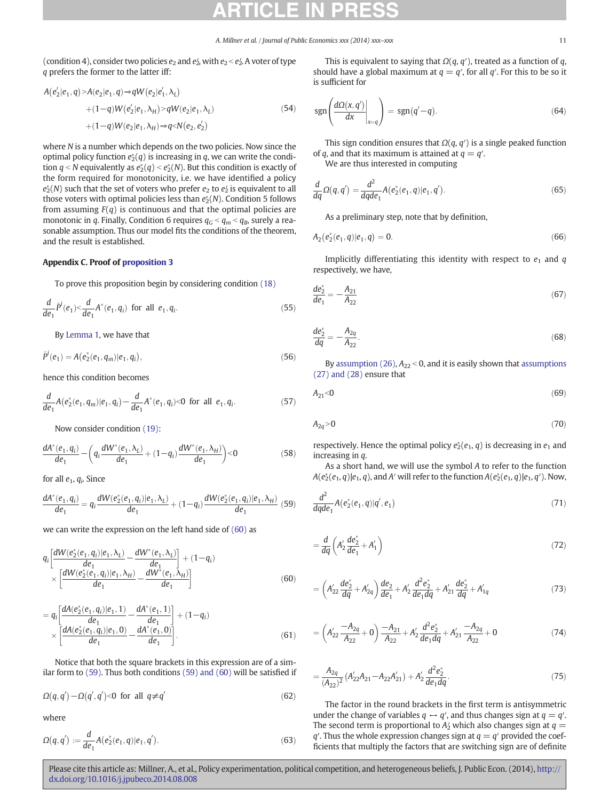<span id="page-11-0"></span>(condition 4), consider two policies  $e_2$  and  $e_2'$ , with  $e_2 < e_2'$ . A voter of type q prefers the former to the latter iff:

$$
A(e'_2|e_1, q) > A(e_2|e_1, q) \Rightarrow qW(e_2|e'_1, \lambda_L)
$$
  
+ 
$$
(1-q)W(e'_2|e_1, \lambda_H) > qW(e_2|e_1, \lambda_L)
$$
  
+ 
$$
(1-q)W(e_2|e_1, \lambda_H) \Rightarrow q < N(e_2, e'_2)
$$
 (54)

where N is a number which depends on the two policies. Now since the optimal policy function  $e_2^*(q)$  is increasing in q, we can write the condition  $q < N$  equivalently as  $e^*_2(q) < e^*_2(N)$ . But this condition is exactly of the form required for monotonicity, i.e. we have identified a policy  $e^*_2(N)$  such that the set of voters who prefer  $e_2$  to  $e'_2$  is equivalent to all those voters with optimal policies less than  $e_2^*(N)$ . Condition 5 follows from assuming  $F(q)$  is continuous and that the optimal policies are monotonic in q. Finally, Condition 6 requires  $q_G < q_m < q_B$ , surely a reasonable assumption. Thus our model fits the conditions of the theorem, and the result is established.

## Appendix C. Proof of [proposition 3](#page-7-0)

To prove this proposition begin by considering condition [\(18\)](#page-6-0)

$$
\frac{d}{de_1}\hat{P}^i(e_1) < \frac{d}{de_1}A^*(e_1, q_i) \text{ for all } e_1, q_i.
$$
 (55)

By [Lemma 1](#page-7-0), we have that

$$
\hat{P}^i(e_1) = A(e_2^*(e_1, q_m)|e_1, q_i),\tag{56}
$$

hence this condition becomes

$$
\frac{d}{de_1}A(e_2^*(e_1,q_m)|e_1,q_i) - \frac{d}{de_1}A^*(e_1,q_i) < 0 \text{ for all } e_1,q_i. \tag{57}
$$

Now consider condition [\(19\)](#page-6-0):

$$
\frac{dA^*(e_1, q_i)}{de_1} - \left(q_i \frac{dW^*(e_1, \lambda_L)}{de_1} + (1 - q_i) \frac{dW^*(e_1, \lambda_H)}{de_1}\right) < 0\tag{58}
$$

for all  $e_1$ ,  $q_i$ . Since

$$
\frac{dA^*(e_1, q_i)}{de_1} = q_i \frac{dW(e_2^*(e_1, q_i)|e_1, \lambda_L)}{de_1} + (1 - q_i) \frac{dW(e_2^*(e_1, q_i)|e_1, \lambda_H)}{de_1} (59)
$$

we can write the expression on the left hand side of (60) as

$$
q_{i}\left[\frac{dW(e_{2}^{*}(e_{1}, q_{i})|e_{1}, \lambda_{L})}{de_{1}} - \frac{dW^{*}(e_{1}, \lambda_{L})}{de_{1}}\right] + (1 - q_{i})
$$
  
 
$$
\times \left[\frac{dW(e_{2}^{*}(e_{1}, q_{i})|e_{1}, \lambda_{H})}{de_{1}} - \frac{dW^{*}(e_{1}, \lambda_{H})}{de_{1}}\right]
$$
(60)

$$
= q_i \left[ \frac{dA(e_2^*(e_1, q_i)|e_1, 1)}{de_1} - \frac{dA^*(e_1, 1)}{de_1} \right] + (1 - q_i) \times \left[ \frac{dA(e_2^*(e_1, q_i)|e_1, 0)}{de_1} - \frac{dA^*(e_1, 0)}{de_1} \right].
$$
\n(61)

Notice that both the square brackets in this expression are of a similar form to (59). Thus both conditions (59) and (60) will be satisfied if

$$
\Omega(q,q') - \Omega(q',q') < 0 \text{ for all } q \neq q' \tag{62}
$$

where

$$
\Omega(q,q') := \frac{d}{de_1} A(e_2^*(e_1,q)|e_1,q'). \tag{63}
$$

This is equivalent to saying that  $\Omega(q, q')$ , treated as a function of q, should have a global maximum at  $q = q'$ , for all q'. For this to be so it is sufficient for

$$
\operatorname{sgn}\left(\frac{d\Omega(x,q')}{dx}\bigg|_{x=q}\right) = \operatorname{sgn}(q'-q). \tag{64}
$$

This sign condition ensures that  $\Omega(q, q')$  is a single peaked function of q, and that its maximum is attained at  $q = q'$ .

We are thus interested in computing

$$
\frac{d}{dq}\Omega(q,q') = \frac{d^2}{dqde_1}A(e_2^*(e_1,q)|e_1,q').
$$
\n(65)

As a preliminary step, note that by definition,

$$
A_2(e_2^*(e_1, q)|e_1, q) = 0. \tag{66}
$$

Implicitly differentiating this identity with respect to  $e_1$  and  $q$ respectively, we have,

$$
\frac{de_2^*}{de_1} = -\frac{A_{21}}{A_{22}}\tag{67}
$$

$$
\frac{de_2^*}{dq} = -\frac{A_{2q}}{A_{22}}.\tag{68}
$$

By [assumption \(26\)](#page-7-0),  $A_{22} < 0$ , and it is easily shown that [assumptions](#page-7-0) [\(27\) and \(28\)](#page-7-0) ensure that

$$
A_{21} < 0 \tag{69}
$$

$$
A_{2q} > 0 \tag{70}
$$

respectively. Hence the optimal policy  $e_2^*(e_1, q)$  is decreasing in  $e_1$  and increasing in q.

As a short hand, we will use the symbol A to refer to the function  $A(e_2^*(e_1, q)|e_1, q)$ , and A' will refer to the function  $A(e_2^*(e_1, q)|e_1, q')$ . Now,

$$
\frac{d^2}{dqde_1}A(e_2^*(e_1, q)|q', e_1) \tag{71}
$$

$$
=\frac{d}{dq}\left(A_2'\frac{de_2^*}{de_1}+A_1'\right)
$$
\n(72)

$$
= \left(A'_{22}\frac{de_2^*}{dq} + A'_{2q}\right)\frac{de_2}{de_1} + A'_2\frac{d^2e_2^*}{de_1dq} + A'_{21}\frac{de_2^*}{dq} + A'_{1q}
$$
(73)

$$
= \left(A'_{22}\frac{-A_{2q}}{A_{22}}+0\right)\frac{-A_{21}}{A_{22}}+A'_{2}\frac{d^{2}e_{2}^{*}}{de_{1}dq}+A'_{21}\frac{-A_{2q}}{A_{22}}+0
$$
\n(74)

$$
=\frac{A_{2q}}{(A_{22})^2} (A'_{22}A_{21}-A_{22}A'_{21})+A'_{2}\frac{d^2e_2^*}{de_1dq}.
$$
\n(75)

The factor in the round brackets in the first term is antisymmetric under the change of variables  $q \leftrightarrow q'$ , and thus changes sign at  $q = q'$ . The second term is proportional to  $A_2'$  which also changes sign at  $q =$  $q'$ . Thus the whole expression changes sign at  $q = q'$  provided the coefficients that multiply the factors that are switching sign are of definite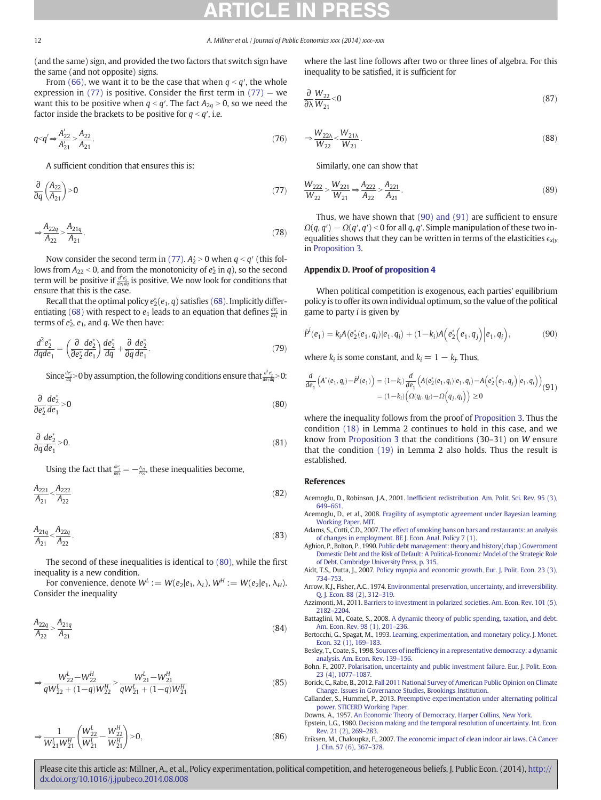<span id="page-12-0"></span>(and the same) sign, and provided the two factors that switch sign have the same (and not opposite) signs.

From [\(66\),](#page-11-0) we want it to be the case that when  $q < q'$ , the whole expression in  $(77)$  is positive. Consider the first term in  $(77)$  – we want this to be positive when  $q < q'$ . The fact  $A_{2q} > 0$ , so we need the factor inside the brackets to be positive for  $q < q'$ , i.e.

$$
q < q' \Rightarrow \frac{A'_{22}}{A'_{21}} > \frac{A_{22}}{A_{21}}.
$$
\n(76)

A sufficient condition that ensures this is:

$$
\frac{\partial}{\partial q} \left( \frac{A_{22}}{A_{21}} \right) > 0 \tag{77}
$$

$$
\Rightarrow \frac{A_{22q}}{A_{22}} > \frac{A_{21q}}{A_{21}}.
$$
\n(78)

Now consider the second term in (77).  $A_2 > 0$  when  $q < q'$  (this follows from  $A_{22}$  < 0, and from the monotonicity of  $e_2^*$  in  $q$ ), so the second term will be positive if  $\frac{d^2e^2}{de_1dq}$  is positive. We now look for conditions that ensure that this is the case.

Recall that the optimal policy  $e_2^*(e_1, q)$  satisfies [\(68\)](#page-11-0). Implicitly differ-entiating [\(68\)](#page-11-0) with respect to  $e_1$  leads to an equation that defines  $\frac{de_2}{de_1}$  in terms of  $e_2^*$ ,  $e_1$ , and  $q$ . We then have:

$$
\frac{d^2e_2^*}{dqde_1} = \left(\frac{\partial}{\partial e_2^*} \frac{de_2^*}{de_1}\right) \frac{de_2^*}{dq} + \frac{\partial}{\partial q} \frac{de_2^*}{de_1}.
$$
\n(79)

Since  $\frac{de^2}{dq}$ >0 by assumption, the following conditions ensure that  $\frac{d^2e^2}{de_1 dq}$ >0:

$$
\frac{\partial}{\partial e_2^*} \frac{de_2^*}{de_1} > 0 \tag{80}
$$

$$
\frac{\partial}{\partial q}\frac{de_2^*}{de_1} > 0.
$$
\n(81)

Using the fact that  $\frac{de_2}{de_1} = -\frac{A_{21}}{A_{22}}$ , these inequalities become,

$$
\frac{A_{221}}{A_{21}} < \frac{A_{222}}{A_{22}} \tag{82}
$$

$$
\frac{A_{21q}}{A_{21}} < \frac{A_{22q}}{A_{22}}.
$$
\n(83)

The second of these inequalities is identical to (80), while the first inequality is a new condition.

For convenience, denote  $W^L := W(e_2|e_1, \lambda_L)$ ,  $W^H := W(e_2|e_1, \lambda_H)$ . Consider the inequality

$$
\frac{A_{22q}}{A_{22}} > \frac{A_{21q}}{A_{21}}\tag{84}
$$

$$
\Rightarrow \frac{W_{22}^L - W_{22}^H}{qW_{22}^L + (1-q)W_{22}^H} > \frac{W_{21}^L - W_{21}^H}{qW_{21}^L + (1-q)W_{21}^H}
$$
\n(85)

$$
\Rightarrow \frac{1}{W_{21}^L W_{21}^H} \left( \frac{W_{22}^L}{W_{21}^L} - \frac{W_{22}^H}{W_{21}^H} \right) > 0, \tag{86}
$$

where the last line follows after two or three lines of algebra. For this inequality to be satisfied, it is sufficient for

$$
\frac{\partial}{\partial \lambda} \frac{W_{22}}{W_{21}} < 0 \tag{87}
$$

$$
\Rightarrow \frac{W_{22\lambda}}{W_{22}} < \frac{W_{21\lambda}}{W_{21}}.\tag{88}
$$

Similarly, one can show that

$$
\frac{W_{222}}{W_{22}} > \frac{W_{221}}{W_{21}} \Rightarrow \frac{A_{222}}{A_{22}} > \frac{A_{221}}{A_{21}}.
$$
\n(89)

Thus, we have shown that (90) and (91) are sufficient to ensure  $\Omega(q, q') - \Omega(q', q') < 0$  for all q, q'. Simple manipulation of these two inequalities shows that they can be written in terms of the elasticities  $\epsilon_{x|y}$ in [Proposition 3.](#page-7-0)

#### Appendix D. Proof of [proposition 4](#page-8-0)

When political competition is exogenous, each parties' equilibrium policy is to offer its own individual optimum, so the value of the political game to party  $i$  is given by

$$
\hat{P}^i(e_1) = k_i A(e_2^*(e_1, q_i) | e_1, q_i) + (1 - k_i) A(e_2^*(e_1, q_i) | e_1, q_i), \tag{90}
$$

where  $k_i$  is some constant, and  $k_i = 1 - k_j$ . Thus,

$$
\frac{d}{de_1} (A^*(e_1, q_i) - \hat{P}^i(e_1)) = (1 - k_i) \frac{d}{de_1} (A(e_2^*(e_1, q_i)|e_1, q_i) - A(e_2^*(e_1, q_j)|e_1, q_i))
$$
\n
$$
= (1 - k_i) ( \Omega(q_i, q_i) - \Omega(q_j, q_i)) \ge 0
$$
\n(91)

where the inequality follows from the proof of [Proposition 3.](#page-7-0) Thus the condition [\(18\)](#page-6-0) in Lemma 2 continues to hold in this case, and we know from [Proposition 3](#page-7-0) that the conditions (30–31) on W ensure that the condition [\(19\)](#page-6-0) in Lemma 2 also holds. Thus the result is established.

#### References

- Acemoglu, D., Robinson, J.A., 2001. Ineffi[cient redistribution. Am. Polit. Sci. Rev. 95 \(3\),](http://refhub.elsevier.com/S0047-2727(14)00193-5/rf0010) 649–[661.](http://refhub.elsevier.com/S0047-2727(14)00193-5/rf0010)
- Acemoglu, D., et al., 2008. [Fragility of asymptotic agreement under Bayesian learning.](http://refhub.elsevier.com/S0047-2727(14)00193-5/rf0215) [Working Paper. MIT.](http://refhub.elsevier.com/S0047-2727(14)00193-5/rf0215)
- Adams, S., Cotti, C.D., 2007. [The effect of smoking bans on bars and restaurants: an analysis](http://refhub.elsevier.com/S0047-2727(14)00193-5/rf0015) [of changes in employment. BE J. Econ. Anal. Policy 7 \(1\).](http://refhub.elsevier.com/S0047-2727(14)00193-5/rf0015)
- Aghion, P., Bolton, P., 1990. [Public debt management: theory and history\(chap.\) Government](http://refhub.elsevier.com/S0047-2727(14)00193-5/rf0220) [Domestic Debt and the Risk of Default: A Political-Economic Model of the Strategic Role](http://refhub.elsevier.com/S0047-2727(14)00193-5/rf0220) [of Debt. Cambridge University Press, p. 315.](http://refhub.elsevier.com/S0047-2727(14)00193-5/rf0220)
- Aidt, T.S., Dutta, J., 2007. [Policy myopia and economic growth. Eur. J. Polit. Econ. 23 \(3\),](http://refhub.elsevier.com/S0047-2727(14)00193-5/rf0020) 734–[753.](http://refhub.elsevier.com/S0047-2727(14)00193-5/rf0020)
- Arrow, K.J., Fisher, A.C., 1974. [Environmental preservation, uncertainty, and irreversibility.](http://refhub.elsevier.com/S0047-2727(14)00193-5/rf0025) [Q. J. Econ. 88 \(2\), 312](http://refhub.elsevier.com/S0047-2727(14)00193-5/rf0025)–319.
- Azzimonti, M., 2011. [Barriers to investment in polarized societies. Am. Econ. Rev. 101 \(5\),](http://refhub.elsevier.com/S0047-2727(14)00193-5/rf0030) 2182–[2204.](http://refhub.elsevier.com/S0047-2727(14)00193-5/rf0030)
- Battaglini, M., Coate, S., 2008. [A dynamic theory of public spending, taxation, and debt.](http://refhub.elsevier.com/S0047-2727(14)00193-5/rf0035) [Am. Econ. Rev. 98 \(1\), 201](http://refhub.elsevier.com/S0047-2727(14)00193-5/rf0035)–236.
- Bertocchi, G., Spagat, M., 1993. [Learning, experimentation, and monetary policy. J. Monet.](http://refhub.elsevier.com/S0047-2727(14)00193-5/rf0040) [Econ. 32 \(1\), 169](http://refhub.elsevier.com/S0047-2727(14)00193-5/rf0040)–183.
- Besley, T., Coate, S., 1998. Sources of ineffi[ciency in a representative democracy: a dynamic](http://refhub.elsevier.com/S0047-2727(14)00193-5/rf0225) [analysis. Am. Econ. Rev. 139](http://refhub.elsevier.com/S0047-2727(14)00193-5/rf0225)–156.
- Bohn, F., 2007. [Polarisation, uncertainty and public investment failure. Eur. J. Polit. Econ.](http://refhub.elsevier.com/S0047-2727(14)00193-5/rf0050) [23 \(4\), 1077](http://refhub.elsevier.com/S0047-2727(14)00193-5/rf0050)–1087.
- Borick, C., Rabe, B., 2012. [Fall 2011 National Survey of American Public Opinion on Climate](http://refhub.elsevier.com/S0047-2727(14)00193-5/rf0230) [Change. Issues in Governance Studies, Brookings Institution.](http://refhub.elsevier.com/S0047-2727(14)00193-5/rf0230)
- Callander, S., Hummel, P., 2013. [Preemptive experimentation under alternating political](http://refhub.elsevier.com/S0047-2727(14)00193-5/rf0235) [power. STICERD Working Paper.](http://refhub.elsevier.com/S0047-2727(14)00193-5/rf0235)
- Downs, A., 1957. [An Economic Theory of Democracy. Harper Collins, New York](http://refhub.elsevier.com/S0047-2727(14)00193-5/rf0065). Epstein, L.G., 1980. [Decision making and the temporal resolution of uncertainty. Int. Econ.](http://refhub.elsevier.com/S0047-2727(14)00193-5/rf0070) [Rev. 21 \(2\), 269](http://refhub.elsevier.com/S0047-2727(14)00193-5/rf0070)–283.
- Eriksen, M., Chaloupka, F., 2007. [The economic impact of clean indoor air laws. CA Cancer](http://refhub.elsevier.com/S0047-2727(14)00193-5/rf0075) [J. Clin. 57 \(6\), 367](http://refhub.elsevier.com/S0047-2727(14)00193-5/rf0075)–378.